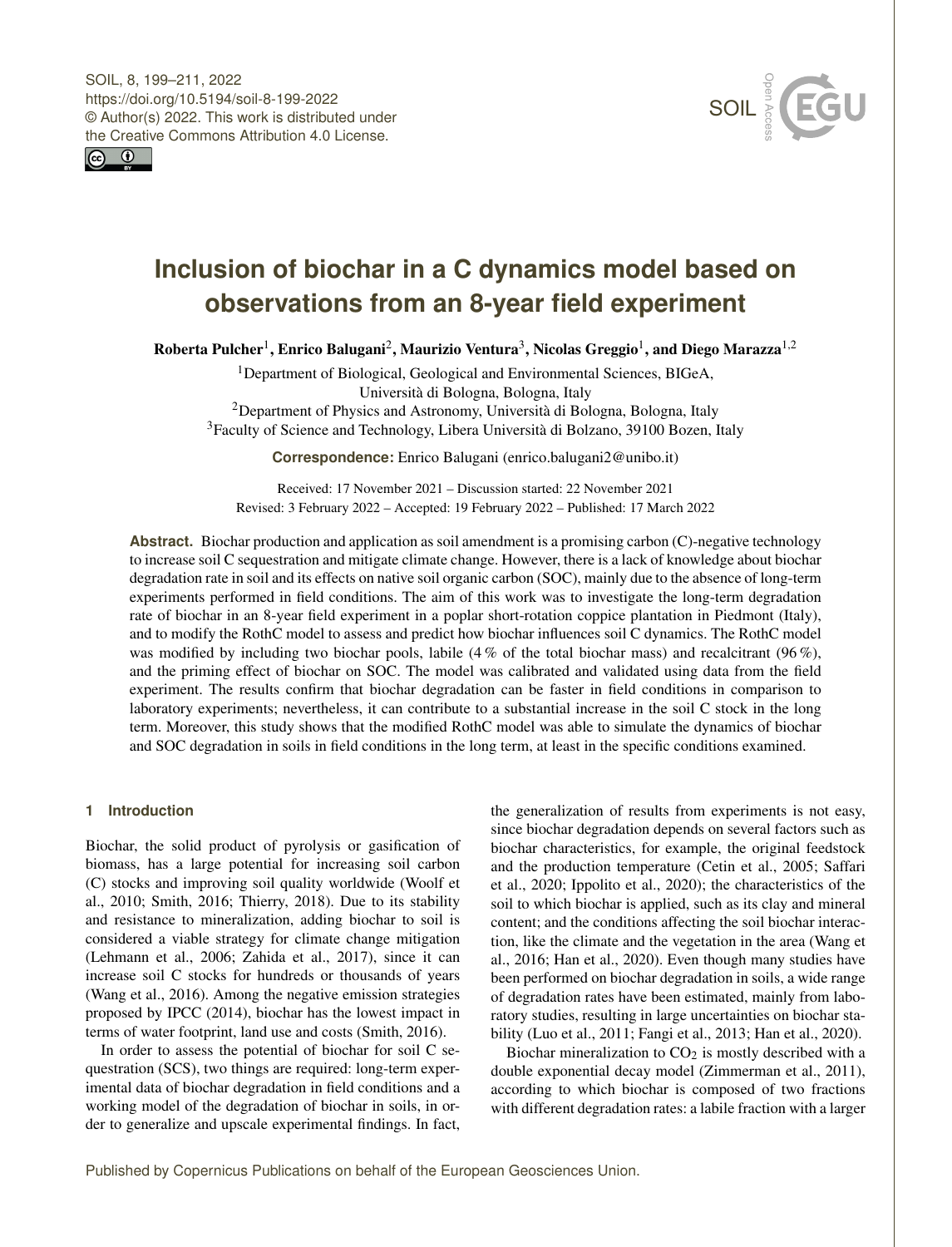



# **Inclusion of biochar in a C dynamics model based on observations from an 8-year field experiment**

Roberta Pulcher<sup>[1](#page-0-0)</sup>, Enrico Balugani<sup>[2](#page-0-0)</sup>, Maurizio Ventura<sup>[3](#page-0-0)</sup>, Nicolas Greggio<sup>1</sup>, and Diego Marazza<sup>[1,2](#page-0-0)</sup>

<sup>1</sup>Department of Biological, Geological and Environmental Sciences, BIGeA, Università di Bologna, Bologna, Italy

<sup>2</sup>Department of Physics and Astronomy, Università di Bologna, Bologna, Italy <sup>3</sup>Faculty of Science and Technology, Libera Università di Bolzano, 39100 Bozen, Italy

**Correspondence:** Enrico Balugani (enrico.balugani2@unibo.it)

Received: 17 November 2021 – Discussion started: 22 November 2021 Revised: 3 February 2022 – Accepted: 19 February 2022 – Published: 17 March 2022

**Abstract.** Biochar production and application as soil amendment is a promising carbon (C)-negative technology to increase soil C sequestration and mitigate climate change. However, there is a lack of knowledge about biochar degradation rate in soil and its effects on native soil organic carbon (SOC), mainly due to the absence of long-term experiments performed in field conditions. The aim of this work was to investigate the long-term degradation rate of biochar in an 8-year field experiment in a poplar short-rotation coppice plantation in Piedmont (Italy), and to modify the RothC model to assess and predict how biochar influences soil C dynamics. The RothC model was modified by including two biochar pools, labile (4 % of the total biochar mass) and recalcitrant (96 %), and the priming effect of biochar on SOC. The model was calibrated and validated using data from the field experiment. The results confirm that biochar degradation can be faster in field conditions in comparison to laboratory experiments; nevertheless, it can contribute to a substantial increase in the soil C stock in the long term. Moreover, this study shows that the modified RothC model was able to simulate the dynamics of biochar and SOC degradation in soils in field conditions in the long term, at least in the specific conditions examined.

# <span id="page-0-0"></span>**1 Introduction**

Biochar, the solid product of pyrolysis or gasification of biomass, has a large potential for increasing soil carbon (C) stocks and improving soil quality worldwide (Woolf et al., 2010; Smith, 2016; Thierry, 2018). Due to its stability and resistance to mineralization, adding biochar to soil is considered a viable strategy for climate change mitigation (Lehmann et al., 2006; Zahida et al., 2017), since it can increase soil C stocks for hundreds or thousands of years (Wang et al., 2016). Among the negative emission strategies proposed by IPCC (2014), biochar has the lowest impact in terms of water footprint, land use and costs (Smith, 2016).

In order to assess the potential of biochar for soil C sequestration (SCS), two things are required: long-term experimental data of biochar degradation in field conditions and a working model of the degradation of biochar in soils, in order to generalize and upscale experimental findings. In fact,

the generalization of results from experiments is not easy, since biochar degradation depends on several factors such as biochar characteristics, for example, the original feedstock and the production temperature (Cetin et al., 2005; Saffari et al., 2020; Ippolito et al., 2020); the characteristics of the soil to which biochar is applied, such as its clay and mineral content; and the conditions affecting the soil biochar interaction, like the climate and the vegetation in the area (Wang et al., 2016; Han et al., 2020). Even though many studies have been performed on biochar degradation in soils, a wide range of degradation rates have been estimated, mainly from laboratory studies, resulting in large uncertainties on biochar stability (Luo et al., 2011; Fangi et al., 2013; Han et al., 2020).

Biochar mineralization to  $CO<sub>2</sub>$  is mostly described with a double exponential decay model (Zimmerman et al., 2011), according to which biochar is composed of two fractions with different degradation rates: a labile fraction with a larger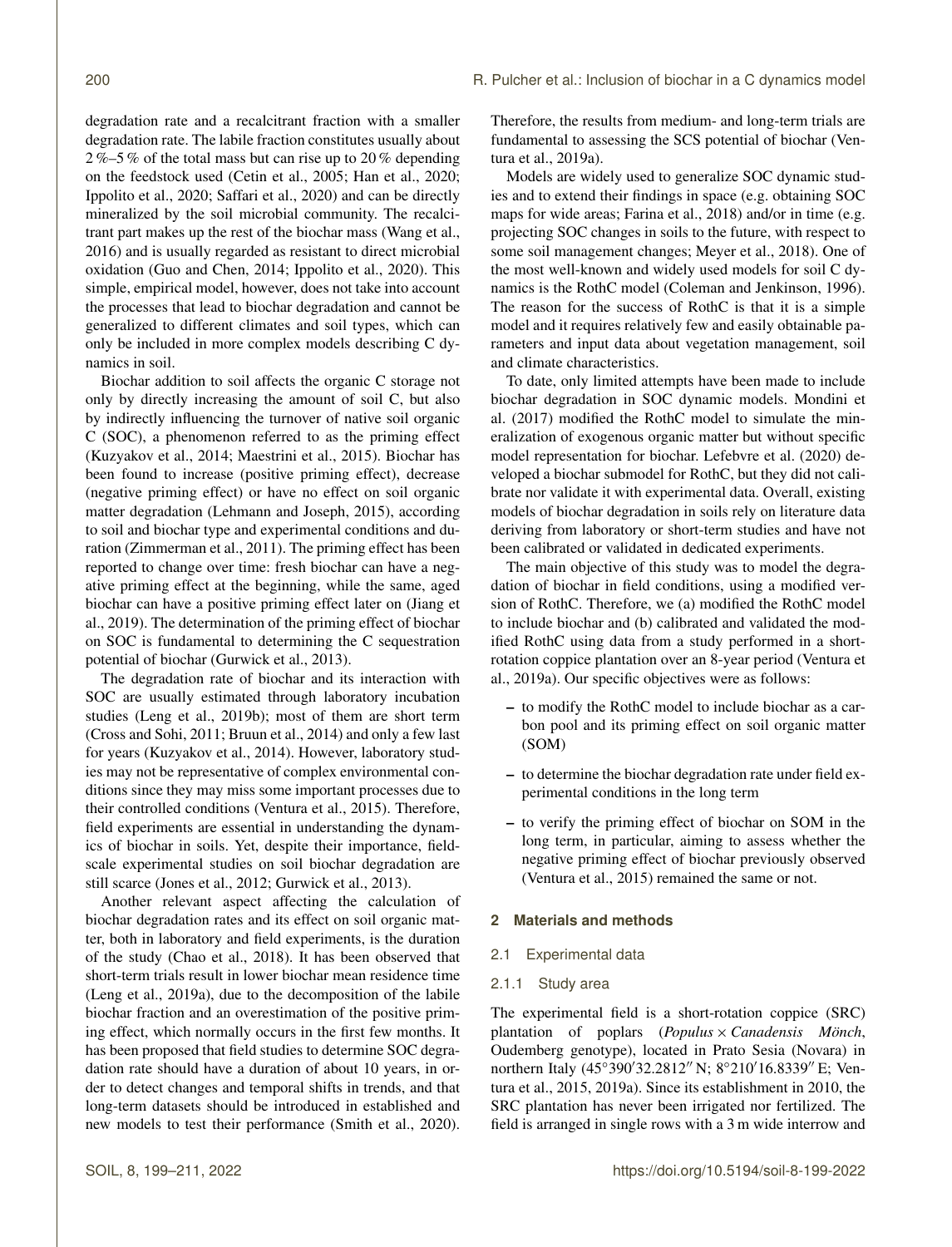degradation rate and a recalcitrant fraction with a smaller degradation rate. The labile fraction constitutes usually about 2 %–5 % of the total mass but can rise up to 20 % depending on the feedstock used (Cetin et al., 2005; Han et al., 2020; Ippolito et al., 2020; Saffari et al., 2020) and can be directly mineralized by the soil microbial community. The recalcitrant part makes up the rest of the biochar mass (Wang et al., 2016) and is usually regarded as resistant to direct microbial oxidation (Guo and Chen, 2014; Ippolito et al., 2020). This simple, empirical model, however, does not take into account the processes that lead to biochar degradation and cannot be generalized to different climates and soil types, which can only be included in more complex models describing C dynamics in soil.

Biochar addition to soil affects the organic C storage not only by directly increasing the amount of soil C, but also by indirectly influencing the turnover of native soil organic C (SOC), a phenomenon referred to as the priming effect (Kuzyakov et al., 2014; Maestrini et al., 2015). Biochar has been found to increase (positive priming effect), decrease (negative priming effect) or have no effect on soil organic matter degradation (Lehmann and Joseph, 2015), according to soil and biochar type and experimental conditions and duration (Zimmerman et al., 2011). The priming effect has been reported to change over time: fresh biochar can have a negative priming effect at the beginning, while the same, aged biochar can have a positive priming effect later on (Jiang et al., 2019). The determination of the priming effect of biochar on SOC is fundamental to determining the C sequestration potential of biochar (Gurwick et al., 2013).

The degradation rate of biochar and its interaction with SOC are usually estimated through laboratory incubation studies (Leng et al., 2019b); most of them are short term (Cross and Sohi, 2011; Bruun et al., 2014) and only a few last for years (Kuzyakov et al., 2014). However, laboratory studies may not be representative of complex environmental conditions since they may miss some important processes due to their controlled conditions (Ventura et al., 2015). Therefore, field experiments are essential in understanding the dynamics of biochar in soils. Yet, despite their importance, fieldscale experimental studies on soil biochar degradation are still scarce (Jones et al., 2012; Gurwick et al., 2013).

Another relevant aspect affecting the calculation of biochar degradation rates and its effect on soil organic matter, both in laboratory and field experiments, is the duration of the study (Chao et al., 2018). It has been observed that short-term trials result in lower biochar mean residence time (Leng et al., 2019a), due to the decomposition of the labile biochar fraction and an overestimation of the positive priming effect, which normally occurs in the first few months. It has been proposed that field studies to determine SOC degradation rate should have a duration of about 10 years, in order to detect changes and temporal shifts in trends, and that long-term datasets should be introduced in established and new models to test their performance (Smith et al., 2020).

Therefore, the results from medium- and long-term trials are fundamental to assessing the SCS potential of biochar (Ventura et al., 2019a).

Models are widely used to generalize SOC dynamic studies and to extend their findings in space (e.g. obtaining SOC maps for wide areas; Farina et al., 2018) and/or in time (e.g. projecting SOC changes in soils to the future, with respect to some soil management changes; Meyer et al., 2018). One of the most well-known and widely used models for soil C dynamics is the RothC model (Coleman and Jenkinson, 1996). The reason for the success of RothC is that it is a simple model and it requires relatively few and easily obtainable parameters and input data about vegetation management, soil and climate characteristics.

To date, only limited attempts have been made to include biochar degradation in SOC dynamic models. Mondini et al. (2017) modified the RothC model to simulate the mineralization of exogenous organic matter but without specific model representation for biochar. Lefebvre et al. (2020) developed a biochar submodel for RothC, but they did not calibrate nor validate it with experimental data. Overall, existing models of biochar degradation in soils rely on literature data deriving from laboratory or short-term studies and have not been calibrated or validated in dedicated experiments.

The main objective of this study was to model the degradation of biochar in field conditions, using a modified version of RothC. Therefore, we (a) modified the RothC model to include biochar and (b) calibrated and validated the modified RothC using data from a study performed in a shortrotation coppice plantation over an 8-year period (Ventura et al., 2019a). Our specific objectives were as follows:

- to modify the RothC model to include biochar as a carbon pool and its priming effect on soil organic matter (SOM)
- to determine the biochar degradation rate under field experimental conditions in the long term
- to verify the priming effect of biochar on SOM in the long term, in particular, aiming to assess whether the negative priming effect of biochar previously observed (Ventura et al., 2015) remained the same or not.

## **2 Materials and methods**

## 2.1 Experimental data

#### 2.1.1 Study area

The experimental field is a short-rotation coppice (SRC) plantation of poplars (*Populus* × *Canadensis Mönch*, Oudemberg genotype), located in Prato Sesia (Novara) in northern Italy (45°390′32.2812″ N; 8°210′16.8339″ E; Ventura et al., 2015, 2019a). Since its establishment in 2010, the SRC plantation has never been irrigated nor fertilized. The field is arranged in single rows with a 3 m wide interrow and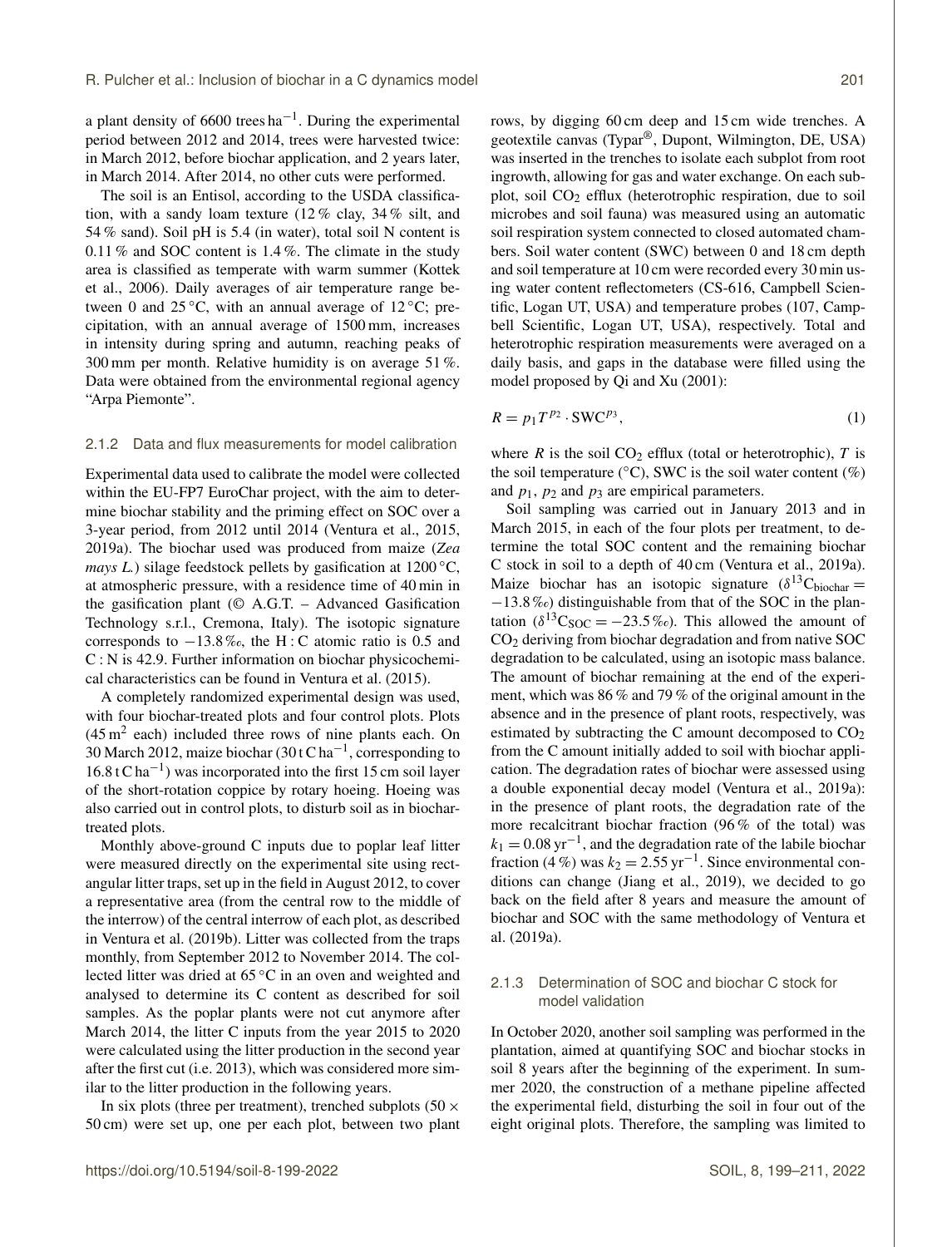a plant density of 6600 trees  $ha^{-1}$ . During the experimental period between 2012 and 2014, trees were harvested twice: in March 2012, before biochar application, and 2 years later, in March 2014. After 2014, no other cuts were performed.

The soil is an Entisol, according to the USDA classification, with a sandy loam texture (12 % clay, 34 % silt, and 54 % sand). Soil pH is 5.4 (in water), total soil N content is 0.11 % and SOC content is 1.4 %. The climate in the study area is classified as temperate with warm summer (Kottek et al., 2006). Daily averages of air temperature range between 0 and 25 °C, with an annual average of 12 °C; precipitation, with an annual average of 1500 mm, increases in intensity during spring and autumn, reaching peaks of 300 mm per month. Relative humidity is on average 51 %. Data were obtained from the environmental regional agency "Arpa Piemonte".

#### 2.1.2 Data and flux measurements for model calibration

Experimental data used to calibrate the model were collected within the EU-FP7 EuroChar project, with the aim to determine biochar stability and the priming effect on SOC over a 3-year period, from 2012 until 2014 (Ventura et al., 2015, 2019a). The biochar used was produced from maize (*Zea mays L.*) silage feedstock pellets by gasification at 1200 °C, at atmospheric pressure, with a residence time of 40 min in the gasification plant ( $\odot$  A.G.T. – Advanced Gasification Technology s.r.l., Cremona, Italy). The isotopic signature corresponds to −13.8 ‰, the H : C atomic ratio is 0.5 and C : N is 42.9. Further information on biochar physicochemical characteristics can be found in Ventura et al. (2015).

A completely randomized experimental design was used, with four biochar-treated plots and four control plots. Plots  $(45 \text{ m}^2 \text{ each})$  included three rows of nine plants each. On 30 March 2012, maize biochar (30 t C ha<sup>-1</sup>, corresponding to 16.8 t C ha−<sup>1</sup> ) was incorporated into the first 15 cm soil layer of the short-rotation coppice by rotary hoeing. Hoeing was also carried out in control plots, to disturb soil as in biochartreated plots.

Monthly above-ground C inputs due to poplar leaf litter were measured directly on the experimental site using rectangular litter traps, set up in the field in August 2012, to cover a representative area (from the central row to the middle of the interrow) of the central interrow of each plot, as described in Ventura et al. (2019b). Litter was collected from the traps monthly, from September 2012 to November 2014. The collected litter was dried at 65 ◦C in an oven and weighted and analysed to determine its C content as described for soil samples. As the poplar plants were not cut anymore after March 2014, the litter C inputs from the year 2015 to 2020 were calculated using the litter production in the second year after the first cut (i.e. 2013), which was considered more similar to the litter production in the following years.

In six plots (three per treatment), trenched subplots (50  $\times$ 50 cm) were set up, one per each plot, between two plant rows, by digging 60 cm deep and 15 cm wide trenches. A geotextile canvas (Typar®, Dupont, Wilmington, DE, USA) was inserted in the trenches to isolate each subplot from root ingrowth, allowing for gas and water exchange. On each subplot, soil CO<sup>2</sup> efflux (heterotrophic respiration, due to soil microbes and soil fauna) was measured using an automatic soil respiration system connected to closed automated chambers. Soil water content (SWC) between 0 and 18 cm depth and soil temperature at 10 cm were recorded every 30 min using water content reflectometers (CS-616, Campbell Scientific, Logan UT, USA) and temperature probes (107, Campbell Scientific, Logan UT, USA), respectively. Total and heterotrophic respiration measurements were averaged on a daily basis, and gaps in the database were filled using the model proposed by Qi and Xu (2001):

$$
R = p_1 T^{p_2} \cdot \text{SWC}^{p_3},\tag{1}
$$

where  $R$  is the soil  $CO<sub>2</sub>$  efflux (total or heterotrophic),  $T$  is the soil temperature ( $°C$ ), SWC is the soil water content (%) and  $p_1$ ,  $p_2$  and  $p_3$  are empirical parameters.

Soil sampling was carried out in January 2013 and in March 2015, in each of the four plots per treatment, to determine the total SOC content and the remaining biochar C stock in soil to a depth of 40 cm (Ventura et al., 2019a). Maize biochar has an isotopic signature  $(\delta^{13}C_{\text{biochar}} =$ −13.8 ‰) distinguishable from that of the SOC in the plantation ( $\delta^{13}C_{SOC} = -23.5\%$ ). This allowed the amount of CO<sup>2</sup> deriving from biochar degradation and from native SOC degradation to be calculated, using an isotopic mass balance. The amount of biochar remaining at the end of the experiment, which was 86 % and 79 % of the original amount in the absence and in the presence of plant roots, respectively, was estimated by subtracting the C amount decomposed to  $CO<sub>2</sub>$ from the C amount initially added to soil with biochar application. The degradation rates of biochar were assessed using a double exponential decay model (Ventura et al., 2019a): in the presence of plant roots, the degradation rate of the more recalcitrant biochar fraction (96 % of the total) was  $k_1 = 0.08 \,\text{yr}^{-1}$ , and the degradation rate of the labile biochar fraction (4%) was  $k_2 = 2.55$  yr<sup>-1</sup>. Since environmental conditions can change (Jiang et al., 2019), we decided to go back on the field after 8 years and measure the amount of biochar and SOC with the same methodology of Ventura et al. (2019a).

# 2.1.3 Determination of SOC and biochar C stock for model validation

In October 2020, another soil sampling was performed in the plantation, aimed at quantifying SOC and biochar stocks in soil 8 years after the beginning of the experiment. In summer 2020, the construction of a methane pipeline affected the experimental field, disturbing the soil in four out of the eight original plots. Therefore, the sampling was limited to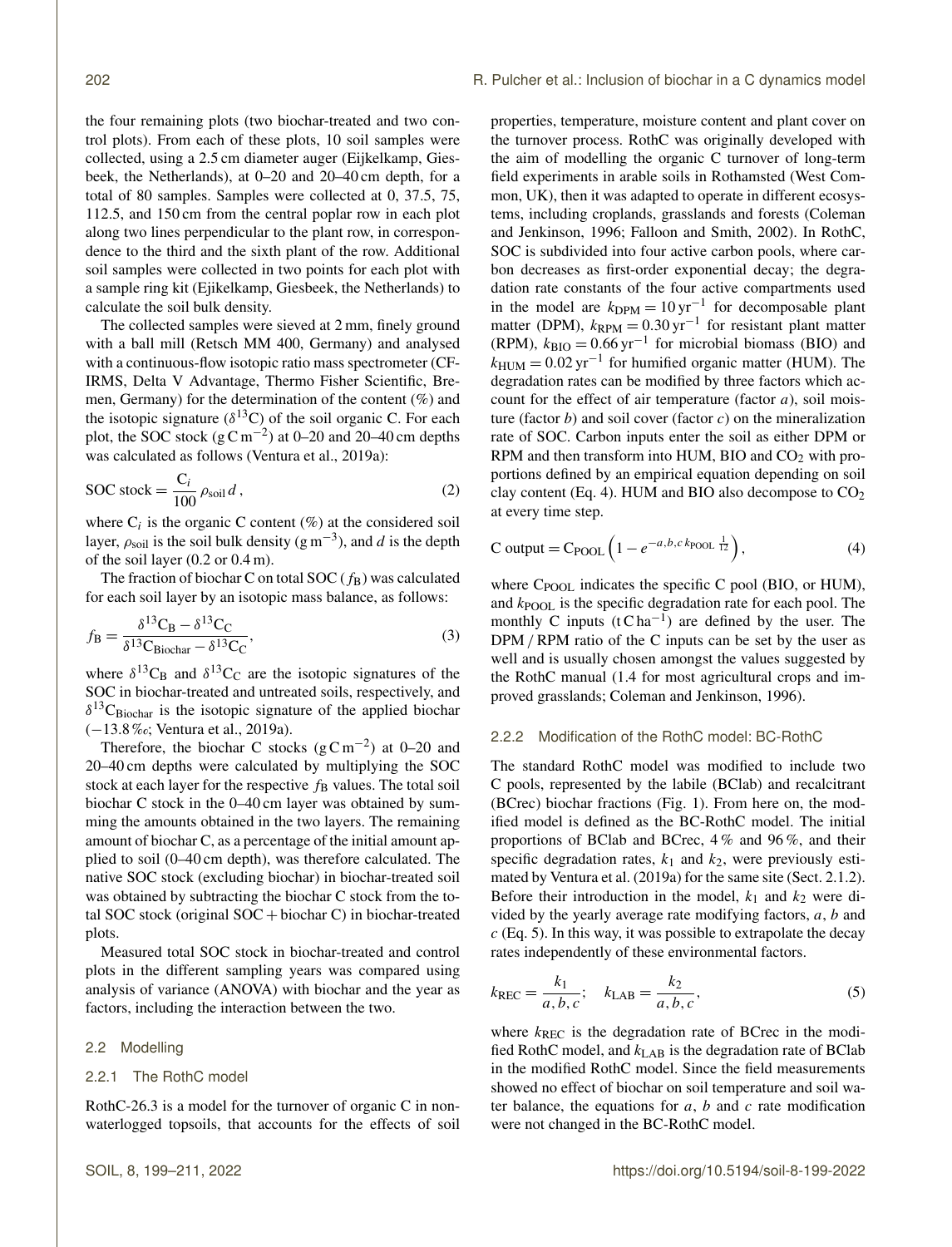the four remaining plots (two biochar-treated and two control plots). From each of these plots, 10 soil samples were collected, using a 2.5 cm diameter auger (Eijkelkamp, Giesbeek, the Netherlands), at 0–20 and 20–40 cm depth, for a total of 80 samples. Samples were collected at 0, 37.5, 75, 112.5, and 150 cm from the central poplar row in each plot along two lines perpendicular to the plant row, in correspondence to the third and the sixth plant of the row. Additional soil samples were collected in two points for each plot with a sample ring kit (Ejikelkamp, Giesbeek, the Netherlands) to calculate the soil bulk density.

The collected samples were sieved at 2 mm, finely ground with a ball mill (Retsch MM 400, Germany) and analysed with a continuous-flow isotopic ratio mass spectrometer (CF-IRMS, Delta V Advantage, Thermo Fisher Scientific, Bremen, Germany) for the determination of the content  $(\%)$  and the isotopic signature ( $\delta^{13}$ C) of the soil organic C. For each plot, the SOC stock  $(g\,Cm^{-2})$  at 0–20 and 20–40 cm depths was calculated as follows (Ventura et al., 2019a):

$$
\text{SOC stock} = \frac{\text{C}_i}{100} \rho_{\text{soil}} \, d \,,\tag{2}
$$

where  $C_i$  is the organic C content (%) at the considered soil layer,  $\rho_{\text{soil}}$  is the soil bulk density (g m<sup>-3</sup>), and d is the depth of the soil layer (0.2 or 0.4 m).

The fraction of biochar C on total SOC  $(f_B)$  was calculated for each soil layer by an isotopic mass balance, as follows:

$$
f_{\rm B} = \frac{\delta^{13}C_{\rm B} - \delta^{13}C_{\rm C}}{\delta^{13}C_{\rm Biochar} - \delta^{13}C_{\rm C}},
$$
\n(3)

where  $\delta^{13}C_B$  and  $\delta^{13}C_C$  are the isotopic signatures of the SOC in biochar-treated and untreated soils, respectively, and  $\delta^{13}$ C<sub>Biochar</sub> is the isotopic signature of the applied biochar (−13.8 ‰; Ventura et al., 2019a).

Therefore, the biochar C stocks  $(g C m^{-2})$  at 0–20 and 20–40 cm depths were calculated by multiplying the SOC stock at each layer for the respective  $f_B$  values. The total soil biochar C stock in the 0–40 cm layer was obtained by summing the amounts obtained in the two layers. The remaining amount of biochar C, as a percentage of the initial amount applied to soil (0–40 cm depth), was therefore calculated. The native SOC stock (excluding biochar) in biochar-treated soil was obtained by subtracting the biochar C stock from the total SOC stock (original  $SOC + biochar C$ ) in biochar-treated plots.

Measured total SOC stock in biochar-treated and control plots in the different sampling years was compared using analysis of variance (ANOVA) with biochar and the year as factors, including the interaction between the two.

#### 2.2 Modelling

## 2.2.1 The RothC model

RothC-26.3 is a model for the turnover of organic C in nonwaterlogged topsoils, that accounts for the effects of soil properties, temperature, moisture content and plant cover on the turnover process. RothC was originally developed with the aim of modelling the organic C turnover of long-term field experiments in arable soils in Rothamsted (West Common, UK), then it was adapted to operate in different ecosystems, including croplands, grasslands and forests (Coleman and Jenkinson, 1996; Falloon and Smith, 2002). In RothC, SOC is subdivided into four active carbon pools, where carbon decreases as first-order exponential decay; the degradation rate constants of the four active compartments used in the model are  $k_{\text{DPM}} = 10 \,\text{yr}^{-1}$  for decomposable plant matter (DPM),  $k_{RPM} = 0.30 \,\text{yr}^{-1}$  for resistant plant matter (RPM),  $k_{\text{BIO}} = 0.66 \,\text{yr}^{-1}$  for microbial biomass (BIO) and  $k_{\text{HUM}} = 0.02 \,\text{yr}^{-1}$  for humified organic matter (HUM). The degradation rates can be modified by three factors which account for the effect of air temperature (factor  $a$ ), soil moisture (factor  $b$ ) and soil cover (factor  $c$ ) on the mineralization rate of SOC. Carbon inputs enter the soil as either DPM or RPM and then transform into HUM, BIO and  $CO<sub>2</sub>$  with proportions defined by an empirical equation depending on soil clay content (Eq. 4). HUM and BIO also decompose to  $CO<sub>2</sub>$ at every time step.

$$
C output = C_{POOL} \left( 1 - e^{-a, b, c \, k_{POOL}} \frac{1}{12} \right),\tag{4}
$$

where C<sub>POOL</sub> indicates the specific C pool (BIO, or HUM), and  $k_{\text{POOL}}$  is the specific degradation rate for each pool. The monthly C inputs  $(t C ha^{-1})$  are defined by the user. The DPM / RPM ratio of the C inputs can be set by the user as well and is usually chosen amongst the values suggested by the RothC manual (1.4 for most agricultural crops and improved grasslands; Coleman and Jenkinson, 1996).

#### 2.2.2 Modification of the RothC model: BC-RothC

The standard RothC model was modified to include two C pools, represented by the labile (BClab) and recalcitrant (BCrec) biochar fractions (Fig. 1). From here on, the modified model is defined as the BC-RothC model. The initial proportions of BClab and BCrec, 4 % and 96 %, and their specific degradation rates,  $k_1$  and  $k_2$ , were previously estimated by Ventura et al. (2019a) for the same site (Sect. 2.1.2). Before their introduction in the model,  $k_1$  and  $k_2$  were divided by the yearly average rate modifying factors,  $a$ ,  $b$  and  $c$  (Eq. 5). In this way, it was possible to extrapolate the decay rates independently of these environmental factors.

$$
k_{\text{REC}} = \frac{k_1}{a, b, c}; \quad k_{\text{LAB}} = \frac{k_2}{a, b, c}, \tag{5}
$$

where  $k_{\text{REC}}$  is the degradation rate of BCrec in the modified RothC model, and  $k_{LAB}$  is the degradation rate of BClab in the modified RothC model. Since the field measurements showed no effect of biochar on soil temperature and soil water balance, the equations for  $a$ ,  $b$  and  $c$  rate modification were not changed in the BC-RothC model.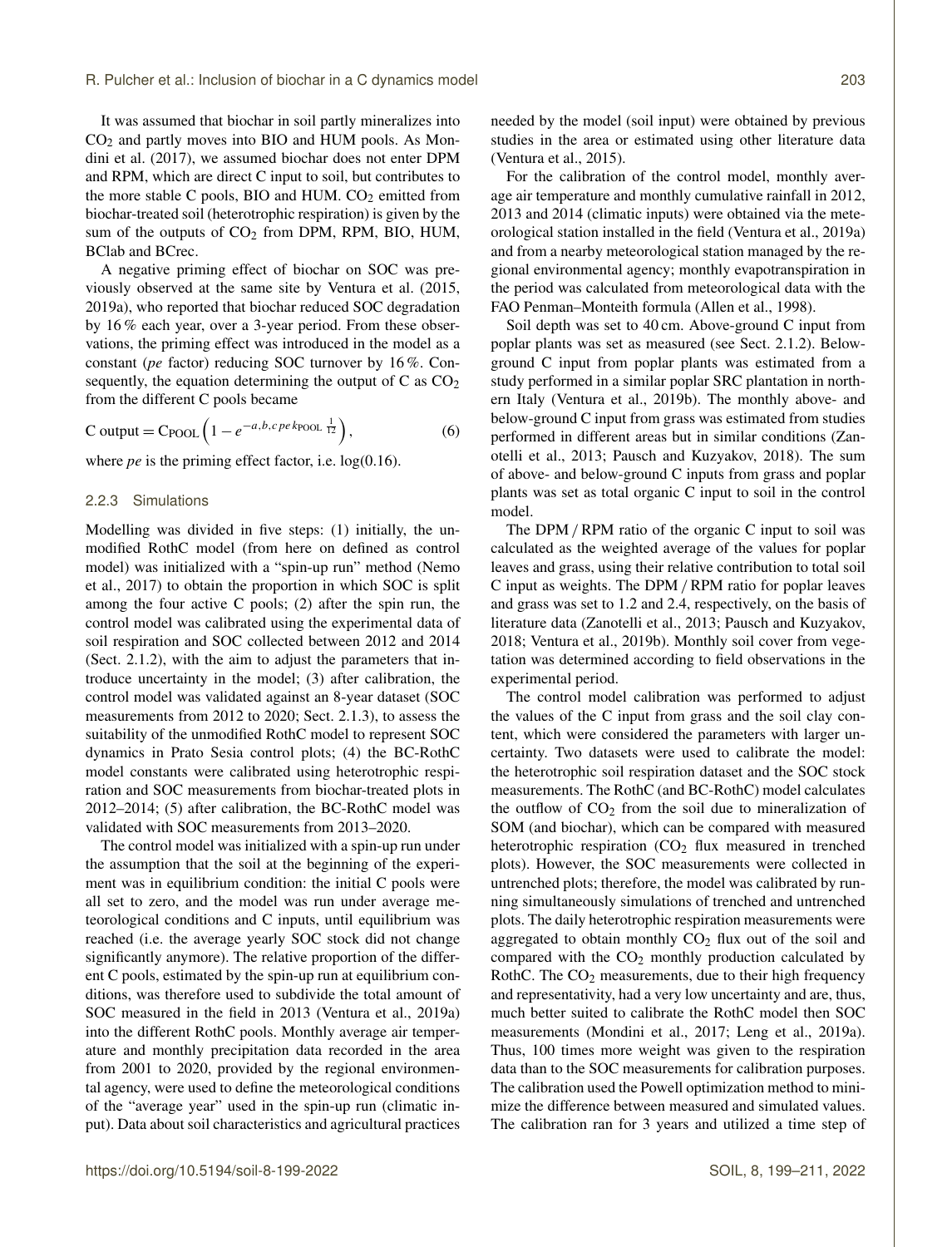It was assumed that biochar in soil partly mineralizes into CO<sup>2</sup> and partly moves into BIO and HUM pools. As Mondini et al. (2017), we assumed biochar does not enter DPM and RPM, which are direct C input to soil, but contributes to the more stable C pools, BIO and HUM.  $CO<sub>2</sub>$  emitted from biochar-treated soil (heterotrophic respiration) is given by the sum of the outputs of  $CO<sub>2</sub>$  from DPM, RPM, BIO, HUM, BClab and BCrec.

A negative priming effect of biochar on SOC was previously observed at the same site by Ventura et al. (2015, 2019a), who reported that biochar reduced SOC degradation by 16 % each year, over a 3-year period. From these observations, the priming effect was introduced in the model as a constant (*pe* factor) reducing SOC turnover by 16 %. Consequently, the equation determining the output of C as  $CO<sub>2</sub>$ from the different C pools became

$$
C output = C_{POOL} \left( 1 - e^{-a, b, c \, p e \, k_{POOL}} \, \frac{1}{12} \right),\tag{6}
$$

where *pe* is the priming effect factor, i.e.  $log(0.16)$ .

## 2.2.3 Simulations

Modelling was divided in five steps: (1) initially, the unmodified RothC model (from here on defined as control model) was initialized with a "spin-up run" method (Nemo et al., 2017) to obtain the proportion in which SOC is split among the four active C pools; (2) after the spin run, the control model was calibrated using the experimental data of soil respiration and SOC collected between 2012 and 2014 (Sect. 2.1.2), with the aim to adjust the parameters that introduce uncertainty in the model; (3) after calibration, the control model was validated against an 8-year dataset (SOC measurements from 2012 to 2020; Sect. 2.1.3), to assess the suitability of the unmodified RothC model to represent SOC dynamics in Prato Sesia control plots; (4) the BC-RothC model constants were calibrated using heterotrophic respiration and SOC measurements from biochar-treated plots in 2012–2014; (5) after calibration, the BC-RothC model was validated with SOC measurements from 2013–2020.

The control model was initialized with a spin-up run under the assumption that the soil at the beginning of the experiment was in equilibrium condition: the initial C pools were all set to zero, and the model was run under average meteorological conditions and C inputs, until equilibrium was reached (i.e. the average yearly SOC stock did not change significantly anymore). The relative proportion of the different C pools, estimated by the spin-up run at equilibrium conditions, was therefore used to subdivide the total amount of SOC measured in the field in 2013 (Ventura et al., 2019a) into the different RothC pools. Monthly average air temperature and monthly precipitation data recorded in the area from 2001 to 2020, provided by the regional environmental agency, were used to define the meteorological conditions of the "average year" used in the spin-up run (climatic input). Data about soil characteristics and agricultural practices needed by the model (soil input) were obtained by previous studies in the area or estimated using other literature data (Ventura et al., 2015).

For the calibration of the control model, monthly average air temperature and monthly cumulative rainfall in 2012, 2013 and 2014 (climatic inputs) were obtained via the meteorological station installed in the field (Ventura et al., 2019a) and from a nearby meteorological station managed by the regional environmental agency; monthly evapotranspiration in the period was calculated from meteorological data with the FAO Penman–Monteith formula (Allen et al., 1998).

Soil depth was set to 40 cm. Above-ground C input from poplar plants was set as measured (see Sect. 2.1.2). Belowground C input from poplar plants was estimated from a study performed in a similar poplar SRC plantation in northern Italy (Ventura et al., 2019b). The monthly above- and below-ground C input from grass was estimated from studies performed in different areas but in similar conditions (Zanotelli et al., 2013; Pausch and Kuzyakov, 2018). The sum of above- and below-ground C inputs from grass and poplar plants was set as total organic C input to soil in the control model.

The DPM / RPM ratio of the organic C input to soil was calculated as the weighted average of the values for poplar leaves and grass, using their relative contribution to total soil C input as weights. The DPM /RPM ratio for poplar leaves and grass was set to 1.2 and 2.4, respectively, on the basis of literature data (Zanotelli et al., 2013; Pausch and Kuzyakov, 2018; Ventura et al., 2019b). Monthly soil cover from vegetation was determined according to field observations in the experimental period.

The control model calibration was performed to adjust the values of the C input from grass and the soil clay content, which were considered the parameters with larger uncertainty. Two datasets were used to calibrate the model: the heterotrophic soil respiration dataset and the SOC stock measurements. The RothC (and BC-RothC) model calculates the outflow of  $CO<sub>2</sub>$  from the soil due to mineralization of SOM (and biochar), which can be compared with measured heterotrophic respiration  $(CO<sub>2</sub>$  flux measured in trenched plots). However, the SOC measurements were collected in untrenched plots; therefore, the model was calibrated by running simultaneously simulations of trenched and untrenched plots. The daily heterotrophic respiration measurements were aggregated to obtain monthly  $CO<sub>2</sub>$  flux out of the soil and compared with the  $CO<sub>2</sub>$  monthly production calculated by RothC. The  $CO<sub>2</sub>$  measurements, due to their high frequency and representativity, had a very low uncertainty and are, thus, much better suited to calibrate the RothC model then SOC measurements (Mondini et al., 2017; Leng et al., 2019a). Thus, 100 times more weight was given to the respiration data than to the SOC measurements for calibration purposes. The calibration used the Powell optimization method to minimize the difference between measured and simulated values. The calibration ran for 3 years and utilized a time step of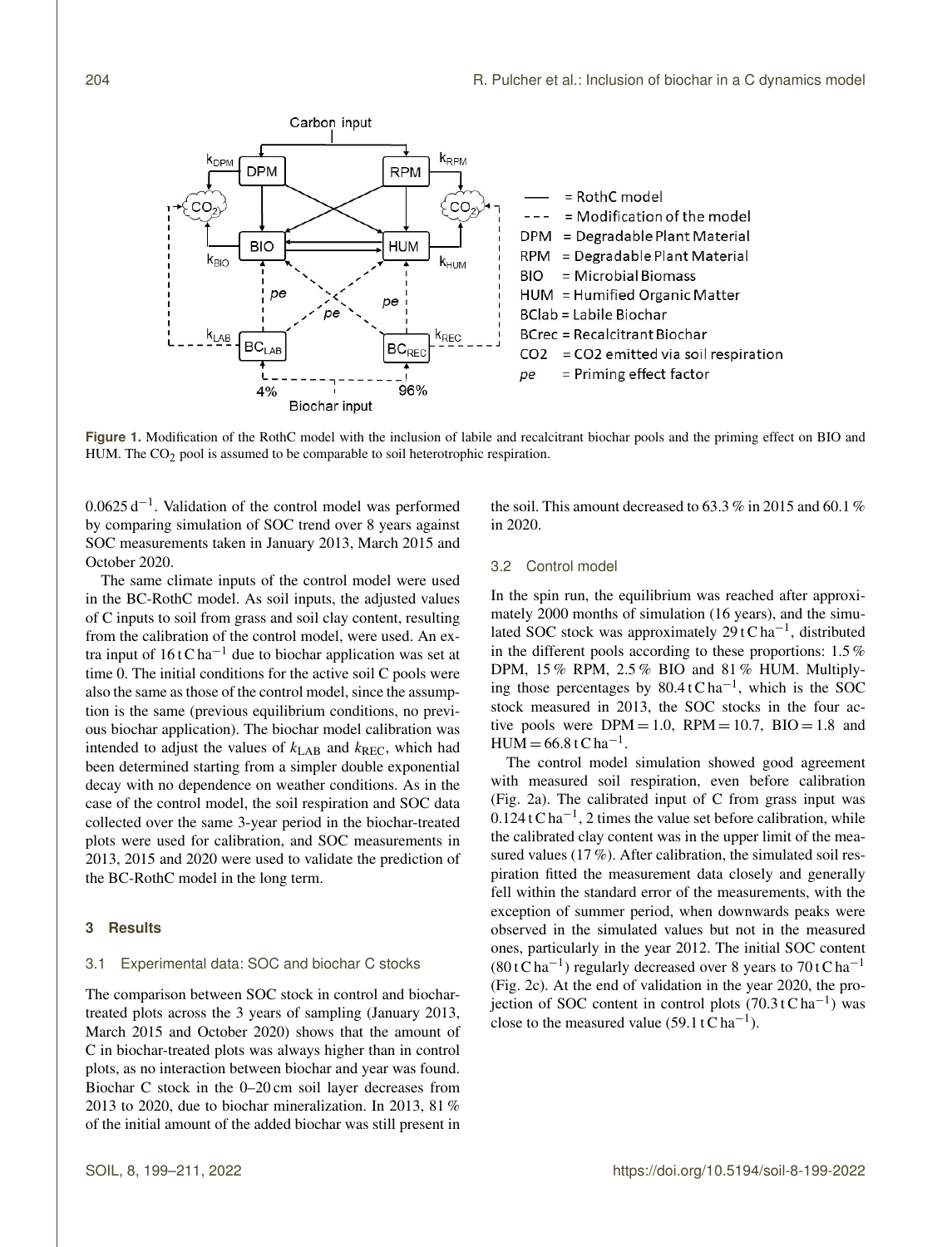

**Figure 1.** Modification of the RothC model with the inclusion of labile and recalcitrant biochar pools and the priming effect on BIO and HUM. The  $CO<sub>2</sub>$  pool is assumed to be comparable to soil heterotrophic respiration.

0.0625 d−<sup>1</sup> . Validation of the control model was performed by comparing simulation of SOC trend over 8 years against SOC measurements taken in January 2013, March 2015 and October 2020.

The same climate inputs of the control model were used in the BC-RothC model. As soil inputs, the adjusted values of C inputs to soil from grass and soil clay content, resulting from the calibration of the control model, were used. An extra input of  $16 t C$  ha<sup>-1</sup> due to biochar application was set at time 0. The initial conditions for the active soil C pools were also the same as those of the control model, since the assumption is the same (previous equilibrium conditions, no previous biochar application). The biochar model calibration was intended to adjust the values of  $k_{\text{LAB}}$  and  $k_{\text{REC}}$ , which had been determined starting from a simpler double exponential decay with no dependence on weather conditions. As in the case of the control model, the soil respiration and SOC data collected over the same 3-year period in the biochar-treated plots were used for calibration, and SOC measurements in 2013, 2015 and 2020 were used to validate the prediction of the BC-RothC model in the long term.

#### **3 Results**

#### 3.1 Experimental data: SOC and biochar C stocks

The comparison between SOC stock in control and biochartreated plots across the 3 years of sampling (January 2013, March 2015 and October 2020) shows that the amount of C in biochar-treated plots was always higher than in control plots, as no interaction between biochar and year was found. Biochar C stock in the 0–20 cm soil layer decreases from 2013 to 2020, due to biochar mineralization. In 2013, 81 % of the initial amount of the added biochar was still present in

the soil. This amount decreased to  $63.3\%$  in 2015 and  $60.1\%$ in 2020.

## 3.2 Control model

In the spin run, the equilibrium was reached after approximately 2000 months of simulation (16 years), and the simulated SOC stock was approximately  $29$  t C ha<sup>-1</sup>, distributed in the different pools according to these proportions: 1.5 % DPM, 15 % RPM, 2.5 % BIO and 81 % HUM. Multiplying those percentages by  $80.4 \text{ t} \text{C} \text{ ha}^{-1}$ , which is the SOC stock measured in 2013, the SOC stocks in the four active pools were  $DPM = 1.0$ ,  $RPM = 10.7$ ,  $BIO = 1.8$  and  $HUM = 66.8 tC ha^{-1}$ .

The control model simulation showed good agreement with measured soil respiration, even before calibration (Fig. 2a). The calibrated input of C from grass input was  $0.124$  t C ha<sup>-1</sup>, 2 times the value set before calibration, while the calibrated clay content was in the upper limit of the measured values (17%). After calibration, the simulated soil respiration fitted the measurement data closely and generally fell within the standard error of the measurements, with the exception of summer period, when downwards peaks were observed in the simulated values but not in the measured ones, particularly in the year 2012. The initial SOC content  $(80 \text{ t C ha}^{-1})$  regularly decreased over 8 years to 70 t C ha<sup>-1</sup> (Fig. 2c). At the end of validation in the year 2020, the projection of SOC content in control plots  $(70.3 \text{ t C ha}^{-1})$  was close to the measured value (59.1 t  $\text{C}$  ha<sup>-1</sup>).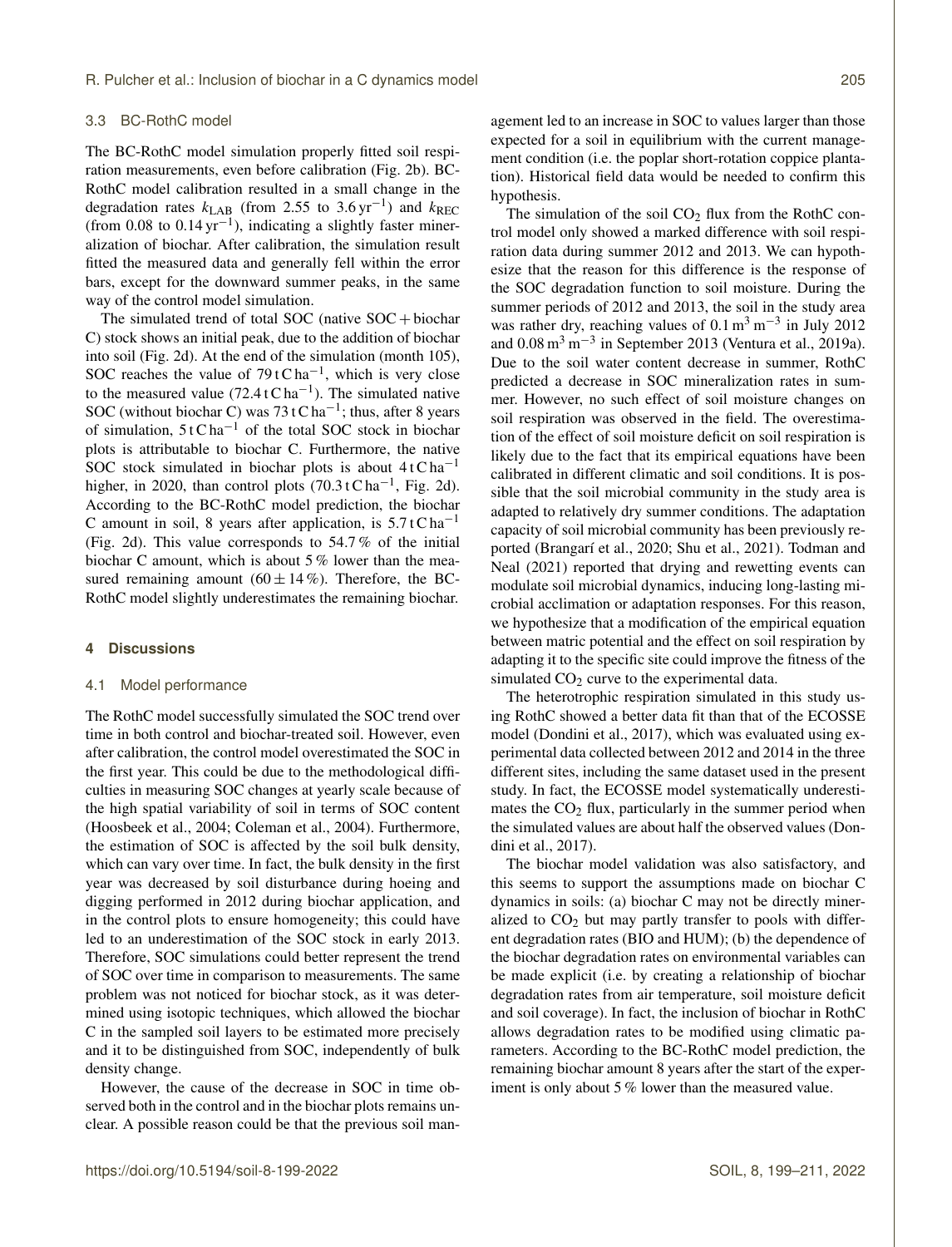#### 3.3 BC-RothC model

The BC-RothC model simulation properly fitted soil respiration measurements, even before calibration (Fig. 2b). BC-RothC model calibration resulted in a small change in the degradation rates  $k_{\text{LAB}}$  (from 2.55 to 3.6 yr<sup>-1</sup>) and  $k_{\text{REC}}$ (from 0.08 to  $0.14 \text{ yr}^{-1}$ ), indicating a slightly faster mineralization of biochar. After calibration, the simulation result fitted the measured data and generally fell within the error bars, except for the downward summer peaks, in the same way of the control model simulation.

The simulated trend of total SOC (native  $SOC + biochar$ ) C) stock shows an initial peak, due to the addition of biochar into soil (Fig. 2d). At the end of the simulation (month 105), SOC reaches the value of  $79$  t C ha<sup>-1</sup>, which is very close to the measured value  $(72.4 \text{ tC ha}^{-1})$ . The simulated native SOC (without biochar C) was  $73 \text{ t}$ C ha<sup>-1</sup>; thus, after 8 years of simulation,  $5 t C h a^{-1}$  of the total SOC stock in biochar plots is attributable to biochar C. Furthermore, the native SOC stock simulated in biochar plots is about  $4tC$  ha<sup>-1</sup> higher, in 2020, than control plots  $(70.3 \text{ tC} \text{ ha}^{-1}$ , Fig. 2d). According to the BC-RothC model prediction, the biochar C amount in soil, 8 years after application, is  $5.7 \text{ t} \text{ C} \text{ ha}^{-1}$ (Fig. 2d). This value corresponds to 54.7 % of the initial biochar C amount, which is about 5 % lower than the measured remaining amount  $(60 \pm 14 \%)$ . Therefore, the BC-RothC model slightly underestimates the remaining biochar.

#### **4 Discussions**

#### 4.1 Model performance

The RothC model successfully simulated the SOC trend over time in both control and biochar-treated soil. However, even after calibration, the control model overestimated the SOC in the first year. This could be due to the methodological difficulties in measuring SOC changes at yearly scale because of the high spatial variability of soil in terms of SOC content (Hoosbeek et al., 2004; Coleman et al., 2004). Furthermore, the estimation of SOC is affected by the soil bulk density, which can vary over time. In fact, the bulk density in the first year was decreased by soil disturbance during hoeing and digging performed in 2012 during biochar application, and in the control plots to ensure homogeneity; this could have led to an underestimation of the SOC stock in early 2013. Therefore, SOC simulations could better represent the trend of SOC over time in comparison to measurements. The same problem was not noticed for biochar stock, as it was determined using isotopic techniques, which allowed the biochar C in the sampled soil layers to be estimated more precisely and it to be distinguished from SOC, independently of bulk density change.

However, the cause of the decrease in SOC in time observed both in the control and in the biochar plots remains unclear. A possible reason could be that the previous soil management led to an increase in SOC to values larger than those expected for a soil in equilibrium with the current management condition (i.e. the poplar short-rotation coppice plantation). Historical field data would be needed to confirm this hypothesis.

The simulation of the soil  $CO<sub>2</sub>$  flux from the RothC control model only showed a marked difference with soil respiration data during summer 2012 and 2013. We can hypothesize that the reason for this difference is the response of the SOC degradation function to soil moisture. During the summer periods of 2012 and 2013, the soil in the study area was rather dry, reaching values of  $0.1 \text{ m}^3 \text{ m}^{-3}$  in July 2012 and  $0.08 \text{ m}^3 \text{ m}^{-3}$  in September 2013 (Ventura et al., 2019a). Due to the soil water content decrease in summer, RothC predicted a decrease in SOC mineralization rates in summer. However, no such effect of soil moisture changes on soil respiration was observed in the field. The overestimation of the effect of soil moisture deficit on soil respiration is likely due to the fact that its empirical equations have been calibrated in different climatic and soil conditions. It is possible that the soil microbial community in the study area is adapted to relatively dry summer conditions. The adaptation capacity of soil microbial community has been previously reported (Brangarí et al., 2020; Shu et al., 2021). Todman and Neal (2021) reported that drying and rewetting events can modulate soil microbial dynamics, inducing long-lasting microbial acclimation or adaptation responses. For this reason, we hypothesize that a modification of the empirical equation between matric potential and the effect on soil respiration by adapting it to the specific site could improve the fitness of the simulated  $CO<sub>2</sub>$  curve to the experimental data.

The heterotrophic respiration simulated in this study using RothC showed a better data fit than that of the ECOSSE model (Dondini et al., 2017), which was evaluated using experimental data collected between 2012 and 2014 in the three different sites, including the same dataset used in the present study. In fact, the ECOSSE model systematically underestimates the  $CO<sub>2</sub>$  flux, particularly in the summer period when the simulated values are about half the observed values (Dondini et al., 2017).

The biochar model validation was also satisfactory, and this seems to support the assumptions made on biochar C dynamics in soils: (a) biochar C may not be directly mineralized to  $CO<sub>2</sub>$  but may partly transfer to pools with different degradation rates (BIO and HUM); (b) the dependence of the biochar degradation rates on environmental variables can be made explicit (i.e. by creating a relationship of biochar degradation rates from air temperature, soil moisture deficit and soil coverage). In fact, the inclusion of biochar in RothC allows degradation rates to be modified using climatic parameters. According to the BC-RothC model prediction, the remaining biochar amount 8 years after the start of the experiment is only about 5 % lower than the measured value.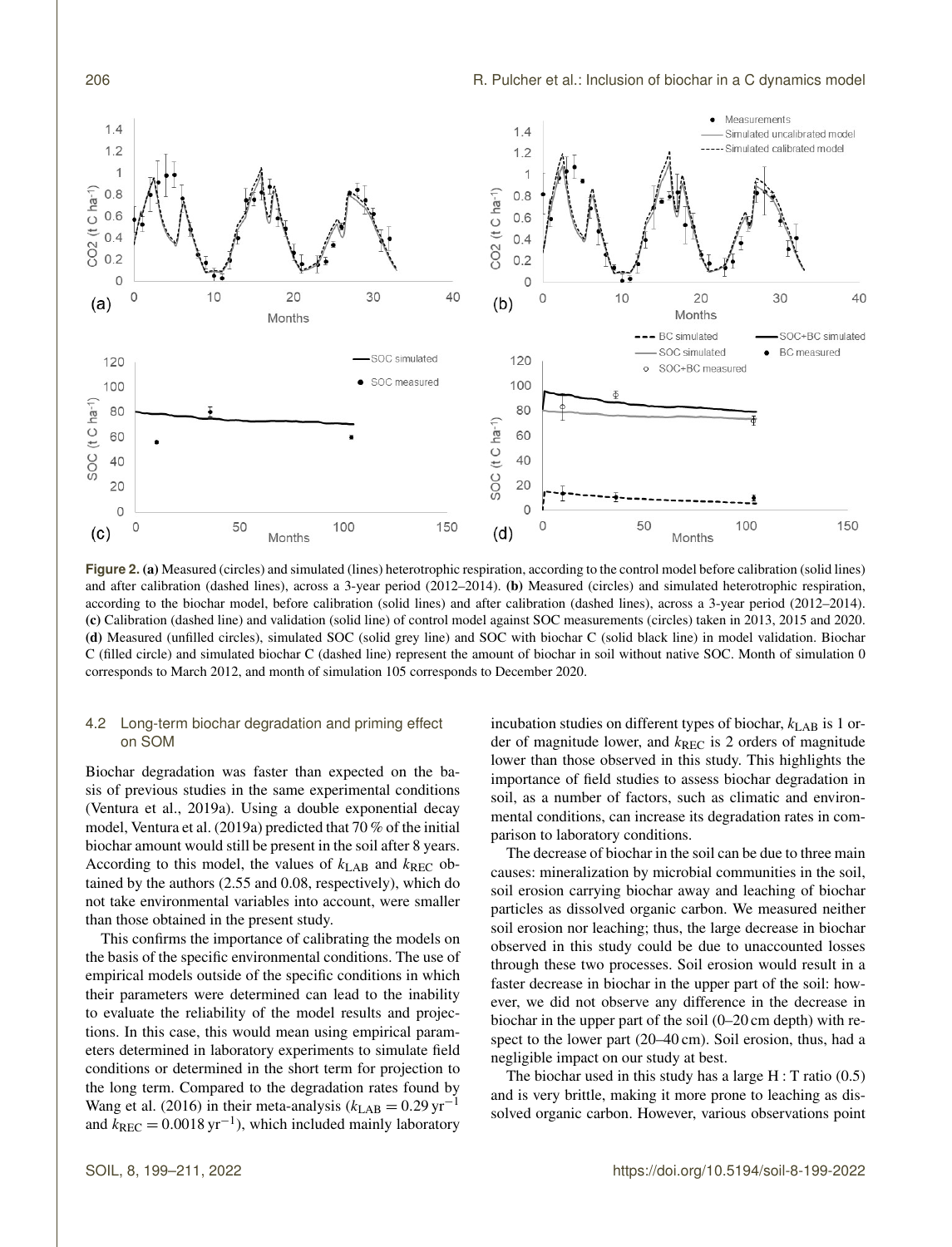

**Figure 2.** (a) Measured (circles) and simulated (lines) heterotrophic respiration, according to the control model before calibration (solid lines) and after calibration (dashed lines), across a 3-year period (2012–2014). (b) Measured (circles) and simulated heterotrophic respiration, according to the biochar model, before calibration (solid lines) and after calibration (dashed lines), across a 3-year period (2012–2014). (c) Calibration (dashed line) and validation (solid line) of control model against SOC measurements (circles) taken in 2013, 2015 and 2020. (d) Measured (unfilled circles), simulated SOC (solid grey line) and SOC with biochar C (solid black line) in model validation. Biochar C (filled circle) and simulated biochar C (dashed line) represent the amount of biochar in soil without native SOC. Month of simulation 0 corresponds to March 2012, and month of simulation 105 corresponds to December 2020.

# 4.2 Long-term biochar degradation and priming effect on SOM

Biochar degradation was faster than expected on the basis of previous studies in the same experimental conditions (Ventura et al., 2019a). Using a double exponential decay model, Ventura et al. (2019a) predicted that 70 % of the initial biochar amount would still be present in the soil after 8 years. According to this model, the values of  $k_{\text{LAB}}$  and  $k_{\text{REC}}$  obtained by the authors (2.55 and 0.08, respectively), which do not take environmental variables into account, were smaller than those obtained in the present study.

This confirms the importance of calibrating the models on the basis of the specific environmental conditions. The use of empirical models outside of the specific conditions in which their parameters were determined can lead to the inability to evaluate the reliability of the model results and projections. In this case, this would mean using empirical parameters determined in laboratory experiments to simulate field conditions or determined in the short term for projection to the long term. Compared to the degradation rates found by Wang et al. (2016) in their meta-analysis ( $k_{\text{LAB}} = 0.29 \text{ yr}^{-1}$ and  $k_{\text{REC}} = 0.0018 \,\text{yr}^{-1}$ ), which included mainly laboratory

incubation studies on different types of biochar,  $k_{\rm LAB}$  is 1 order of magnitude lower, and  $k_{\text{REC}}$  is 2 orders of magnitude lower than those observed in this study. This highlights the importance of field studies to assess biochar degradation in soil, as a number of factors, such as climatic and environmental conditions, can increase its degradation rates in comparison to laboratory conditions.

The decrease of biochar in the soil can be due to three main causes: mineralization by microbial communities in the soil, soil erosion carrying biochar away and leaching of biochar particles as dissolved organic carbon. We measured neither soil erosion nor leaching; thus, the large decrease in biochar observed in this study could be due to unaccounted losses through these two processes. Soil erosion would result in a faster decrease in biochar in the upper part of the soil: however, we did not observe any difference in the decrease in biochar in the upper part of the soil (0–20 cm depth) with respect to the lower part (20–40 cm). Soil erosion, thus, had a negligible impact on our study at best.

The biochar used in this study has a large  $H : T$  ratio (0.5) and is very brittle, making it more prone to leaching as dissolved organic carbon. However, various observations point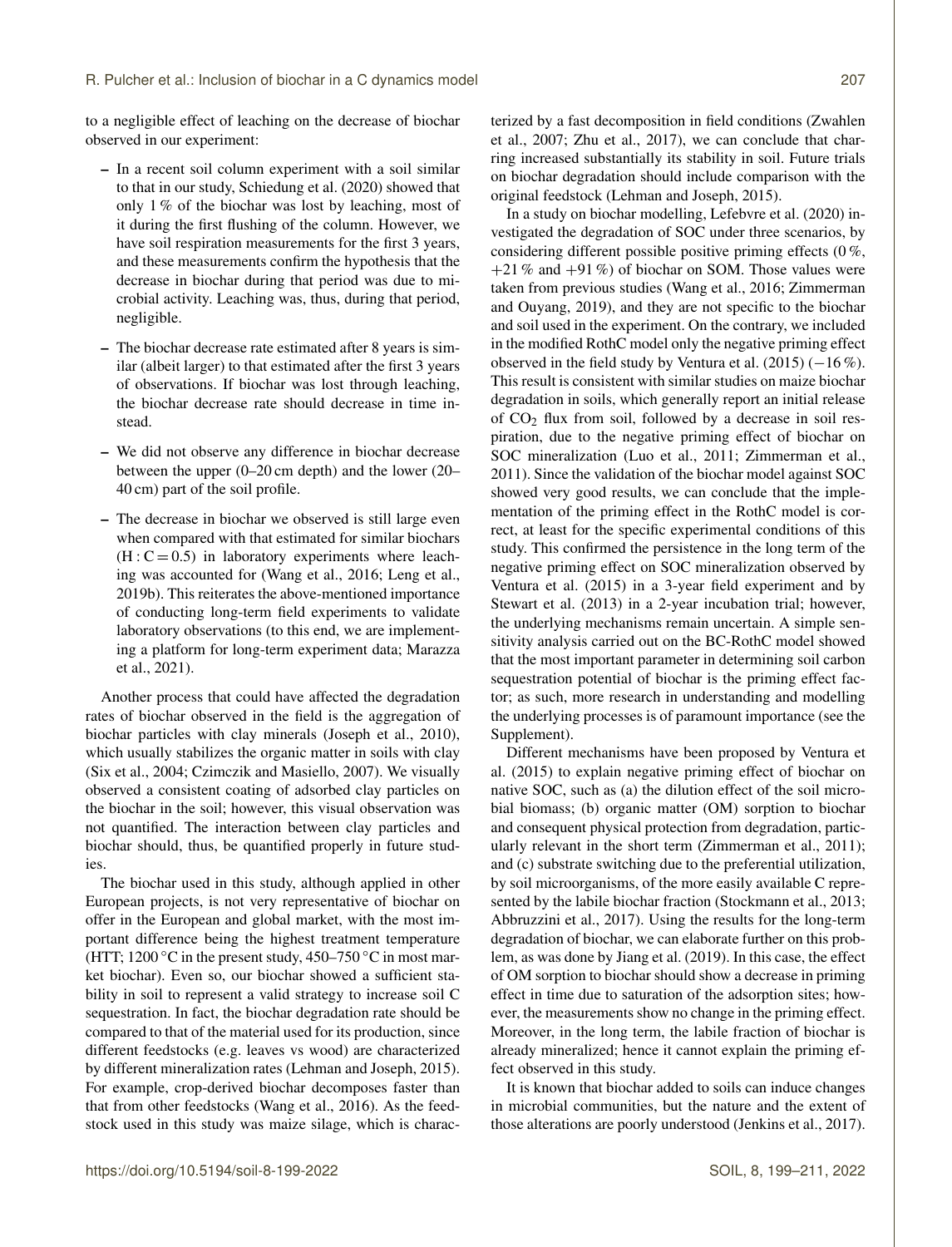to a negligible effect of leaching on the decrease of biochar observed in our experiment:

- In a recent soil column experiment with a soil similar to that in our study, Schiedung et al. (2020) showed that only 1 % of the biochar was lost by leaching, most of it during the first flushing of the column. However, we have soil respiration measurements for the first 3 years, and these measurements confirm the hypothesis that the decrease in biochar during that period was due to microbial activity. Leaching was, thus, during that period, negligible.
- The biochar decrease rate estimated after 8 years is similar (albeit larger) to that estimated after the first 3 years of observations. If biochar was lost through leaching, the biochar decrease rate should decrease in time instead.
- We did not observe any difference in biochar decrease between the upper (0–20 cm depth) and the lower (20– 40 cm) part of the soil profile.
- The decrease in biochar we observed is still large even when compared with that estimated for similar biochars  $(H: C = 0.5)$  in laboratory experiments where leaching was accounted for (Wang et al., 2016; Leng et al., 2019b). This reiterates the above-mentioned importance of conducting long-term field experiments to validate laboratory observations (to this end, we are implementing a platform for long-term experiment data; Marazza et al., 2021).

Another process that could have affected the degradation rates of biochar observed in the field is the aggregation of biochar particles with clay minerals (Joseph et al., 2010), which usually stabilizes the organic matter in soils with clay (Six et al., 2004; Czimczik and Masiello, 2007). We visually observed a consistent coating of adsorbed clay particles on the biochar in the soil; however, this visual observation was not quantified. The interaction between clay particles and biochar should, thus, be quantified properly in future studies.

The biochar used in this study, although applied in other European projects, is not very representative of biochar on offer in the European and global market, with the most important difference being the highest treatment temperature (HTT; 1200 °C in the present study, 450–750 °C in most market biochar). Even so, our biochar showed a sufficient stability in soil to represent a valid strategy to increase soil C sequestration. In fact, the biochar degradation rate should be compared to that of the material used for its production, since different feedstocks (e.g. leaves vs wood) are characterized by different mineralization rates (Lehman and Joseph, 2015). For example, crop-derived biochar decomposes faster than that from other feedstocks (Wang et al., 2016). As the feedstock used in this study was maize silage, which is characterized by a fast decomposition in field conditions (Zwahlen et al., 2007; Zhu et al., 2017), we can conclude that charring increased substantially its stability in soil. Future trials on biochar degradation should include comparison with the original feedstock (Lehman and Joseph, 2015).

In a study on biochar modelling, Lefebvre et al. (2020) investigated the degradation of SOC under three scenarios, by considering different possible positive priming effects (0 %,  $+21\%$  and  $+91\%$ ) of biochar on SOM. Those values were taken from previous studies (Wang et al., 2016; Zimmerman and Ouyang, 2019), and they are not specific to the biochar and soil used in the experiment. On the contrary, we included in the modified RothC model only the negative priming effect observed in the field study by Ventura et al.  $(2015)$  (−16%). This result is consistent with similar studies on maize biochar degradation in soils, which generally report an initial release of  $CO<sub>2</sub>$  flux from soil, followed by a decrease in soil respiration, due to the negative priming effect of biochar on SOC mineralization (Luo et al., 2011; Zimmerman et al., 2011). Since the validation of the biochar model against SOC showed very good results, we can conclude that the implementation of the priming effect in the RothC model is correct, at least for the specific experimental conditions of this study. This confirmed the persistence in the long term of the negative priming effect on SOC mineralization observed by Ventura et al. (2015) in a 3-year field experiment and by Stewart et al. (2013) in a 2-year incubation trial; however, the underlying mechanisms remain uncertain. A simple sensitivity analysis carried out on the BC-RothC model showed that the most important parameter in determining soil carbon sequestration potential of biochar is the priming effect factor; as such, more research in understanding and modelling the underlying processes is of paramount importance (see the Supplement).

Different mechanisms have been proposed by Ventura et al. (2015) to explain negative priming effect of biochar on native SOC, such as (a) the dilution effect of the soil microbial biomass; (b) organic matter (OM) sorption to biochar and consequent physical protection from degradation, particularly relevant in the short term (Zimmerman et al., 2011); and (c) substrate switching due to the preferential utilization, by soil microorganisms, of the more easily available C represented by the labile biochar fraction (Stockmann et al., 2013; Abbruzzini et al., 2017). Using the results for the long-term degradation of biochar, we can elaborate further on this problem, as was done by Jiang et al. (2019). In this case, the effect of OM sorption to biochar should show a decrease in priming effect in time due to saturation of the adsorption sites; however, the measurements show no change in the priming effect. Moreover, in the long term, the labile fraction of biochar is already mineralized; hence it cannot explain the priming effect observed in this study.

It is known that biochar added to soils can induce changes in microbial communities, but the nature and the extent of those alterations are poorly understood (Jenkins et al., 2017).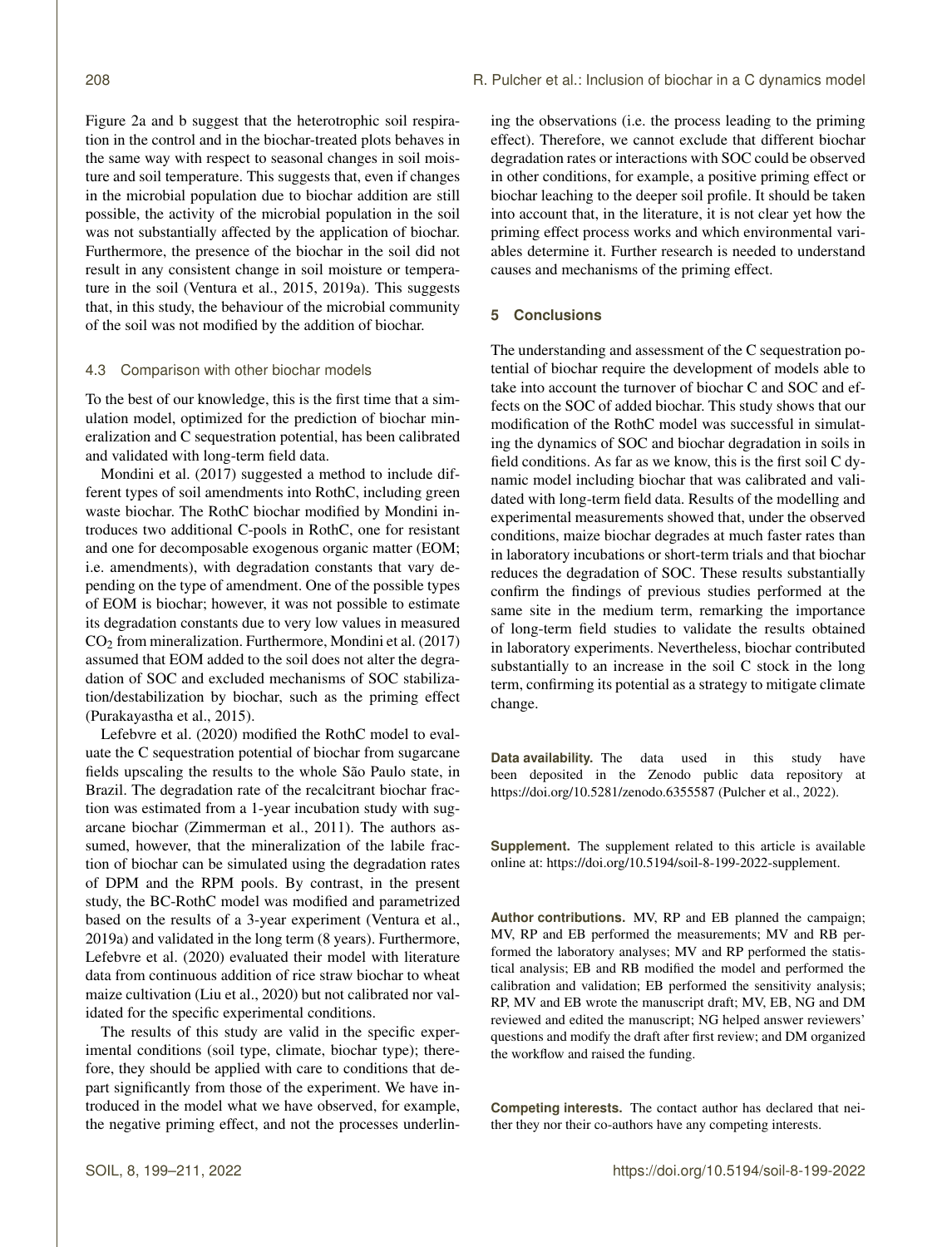Figure 2a and b suggest that the heterotrophic soil respiration in the control and in the biochar-treated plots behaves in the same way with respect to seasonal changes in soil moisture and soil temperature. This suggests that, even if changes in the microbial population due to biochar addition are still possible, the activity of the microbial population in the soil was not substantially affected by the application of biochar. Furthermore, the presence of the biochar in the soil did not result in any consistent change in soil moisture or temperature in the soil (Ventura et al., 2015, 2019a). This suggests that, in this study, the behaviour of the microbial community of the soil was not modified by the addition of biochar.

#### 4.3 Comparison with other biochar models

To the best of our knowledge, this is the first time that a simulation model, optimized for the prediction of biochar mineralization and C sequestration potential, has been calibrated and validated with long-term field data.

Mondini et al. (2017) suggested a method to include different types of soil amendments into RothC, including green waste biochar. The RothC biochar modified by Mondini introduces two additional C-pools in RothC, one for resistant and one for decomposable exogenous organic matter (EOM; i.e. amendments), with degradation constants that vary depending on the type of amendment. One of the possible types of EOM is biochar; however, it was not possible to estimate its degradation constants due to very low values in measured CO<sup>2</sup> from mineralization. Furthermore, Mondini et al. (2017) assumed that EOM added to the soil does not alter the degradation of SOC and excluded mechanisms of SOC stabilization/destabilization by biochar, such as the priming effect (Purakayastha et al., 2015).

Lefebvre et al. (2020) modified the RothC model to evaluate the C sequestration potential of biochar from sugarcane fields upscaling the results to the whole São Paulo state, in Brazil. The degradation rate of the recalcitrant biochar fraction was estimated from a 1-year incubation study with sugarcane biochar (Zimmerman et al., 2011). The authors assumed, however, that the mineralization of the labile fraction of biochar can be simulated using the degradation rates of DPM and the RPM pools. By contrast, in the present study, the BC-RothC model was modified and parametrized based on the results of a 3-year experiment (Ventura et al., 2019a) and validated in the long term (8 years). Furthermore, Lefebvre et al. (2020) evaluated their model with literature data from continuous addition of rice straw biochar to wheat maize cultivation (Liu et al., 2020) but not calibrated nor validated for the specific experimental conditions.

The results of this study are valid in the specific experimental conditions (soil type, climate, biochar type); therefore, they should be applied with care to conditions that depart significantly from those of the experiment. We have introduced in the model what we have observed, for example, the negative priming effect, and not the processes underlining the observations (i.e. the process leading to the priming effect). Therefore, we cannot exclude that different biochar degradation rates or interactions with SOC could be observed in other conditions, for example, a positive priming effect or biochar leaching to the deeper soil profile. It should be taken into account that, in the literature, it is not clear yet how the priming effect process works and which environmental variables determine it. Further research is needed to understand causes and mechanisms of the priming effect.

# **5 Conclusions**

The understanding and assessment of the C sequestration potential of biochar require the development of models able to take into account the turnover of biochar C and SOC and effects on the SOC of added biochar. This study shows that our modification of the RothC model was successful in simulating the dynamics of SOC and biochar degradation in soils in field conditions. As far as we know, this is the first soil C dynamic model including biochar that was calibrated and validated with long-term field data. Results of the modelling and experimental measurements showed that, under the observed conditions, maize biochar degrades at much faster rates than in laboratory incubations or short-term trials and that biochar reduces the degradation of SOC. These results substantially confirm the findings of previous studies performed at the same site in the medium term, remarking the importance of long-term field studies to validate the results obtained in laboratory experiments. Nevertheless, biochar contributed substantially to an increase in the soil C stock in the long term, confirming its potential as a strategy to mitigate climate change.

**Data availability.** The data used in this study have been deposited in the Zenodo public data repository at https://doi.org[/10.5281/zenodo.6355587](https://doi.org/10.5281/zenodo.6355587) (Pulcher et al., 2022).

**Supplement.** The supplement related to this article is available online at: [https://doi.org/10.5194/soil-8-199-2022-supplement.](https://doi.org/10.5194/soil-8-199-2022-supplement)

**Author contributions.** MV, RP and EB planned the campaign; MV, RP and EB performed the measurements; MV and RB performed the laboratory analyses; MV and RP performed the statistical analysis; EB and RB modified the model and performed the calibration and validation; EB performed the sensitivity analysis; RP, MV and EB wrote the manuscript draft; MV, EB, NG and DM reviewed and edited the manuscript; NG helped answer reviewers' questions and modify the draft after first review; and DM organized the workflow and raised the funding.

**Competing interests.** The contact author has declared that neither they nor their co-authors have any competing interests.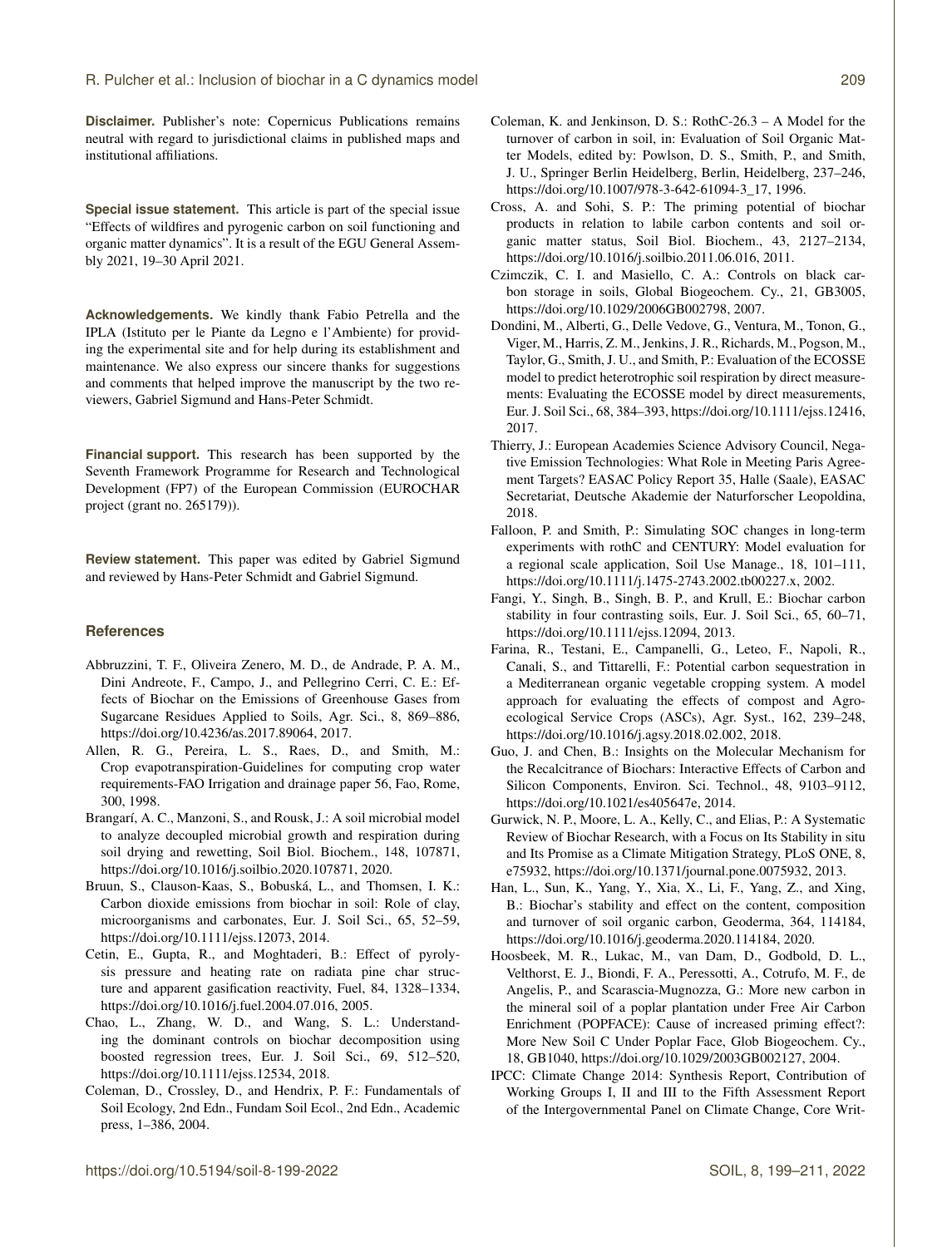**Disclaimer.** Publisher's note: Copernicus Publications remains neutral with regard to jurisdictional claims in published maps and institutional affiliations.

**Special issue statement.** This article is part of the special issue "Effects of wildfires and pyrogenic carbon on soil functioning and organic matter dynamics". It is a result of the EGU General Assembly 2021, 19–30 April 2021.

**Acknowledgements.** We kindly thank Fabio Petrella and the IPLA (Istituto per le Piante da Legno e l'Ambiente) for providing the experimental site and for help during its establishment and maintenance. We also express our sincere thanks for suggestions and comments that helped improve the manuscript by the two reviewers, Gabriel Sigmund and Hans-Peter Schmidt.

**Financial support.** This research has been supported by the Seventh Framework Programme for Research and Technological Development (FP7) of the European Commission (EUROCHAR project (grant no. 265179)).

**Review statement.** This paper was edited by Gabriel Sigmund and reviewed by Hans-Peter Schmidt and Gabriel Sigmund.

#### **References**

- Abbruzzini, T. F., Oliveira Zenero, M. D., de Andrade, P. A. M., Dini Andreote, F., Campo, J., and Pellegrino Cerri, C. E.: Effects of Biochar on the Emissions of Greenhouse Gases from Sugarcane Residues Applied to Soils, Agr. Sci., 8, 869–886, https://doi.org[/10.4236/as.2017.89064,](https://doi.org/10.4236/as.2017.89064) 2017.
- Allen, R. G., Pereira, L. S., Raes, D., and Smith, M.: Crop evapotranspiration-Guidelines for computing crop water requirements-FAO Irrigation and drainage paper 56, Fao, Rome, 300, 1998.
- Brangarí, A. C., Manzoni, S., and Rousk, J.: A soil microbial model to analyze decoupled microbial growth and respiration during soil drying and rewetting, Soil Biol. Biochem., 148, 107871, https://doi.org[/10.1016/j.soilbio.2020.107871,](https://doi.org/10.1016/j.soilbio.2020.107871) 2020.
- Bruun, S., Clauson-Kaas, S., Bobuská, L., and Thomsen, I. K.: Carbon dioxide emissions from biochar in soil: Role of clay, microorganisms and carbonates, Eur. J. Soil Sci., 65, 52–59, https://doi.org[/10.1111/ejss.12073,](https://doi.org/10.1111/ejss.12073) 2014.
- Cetin, E., Gupta, R., and Moghtaderi, B.: Effect of pyrolysis pressure and heating rate on radiata pine char structure and apparent gasification reactivity, Fuel, 84, 1328–1334, https://doi.org[/10.1016/j.fuel.2004.07.016,](https://doi.org/10.1016/j.fuel.2004.07.016) 2005.
- Chao, L., Zhang, W. D., and Wang, S. L.: Understanding the dominant controls on biochar decomposition using boosted regression trees, Eur. J. Soil Sci., 69, 512–520, https://doi.org[/10.1111/ejss.12534,](https://doi.org/10.1111/ejss.12534) 2018.
- Coleman, D., Crossley, D., and Hendrix, P. F.: Fundamentals of Soil Ecology, 2nd Edn., Fundam Soil Ecol., 2nd Edn., Academic press, 1–386, 2004.
- Coleman, K. and Jenkinson, D. S.: RothC-26.3 A Model for the turnover of carbon in soil, in: Evaluation of Soil Organic Matter Models, edited by: Powlson, D. S., Smith, P., and Smith, J. U., Springer Berlin Heidelberg, Berlin, Heidelberg, 237–246, https://doi.org[/10.1007/978-3-642-61094-3\\_17,](https://doi.org/10.1007/978-3-642-61094-3_17) 1996.
- Cross, A. and Sohi, S. P.: The priming potential of biochar products in relation to labile carbon contents and soil organic matter status, Soil Biol. Biochem., 43, 2127–2134, https://doi.org[/10.1016/j.soilbio.2011.06.016,](https://doi.org/10.1016/j.soilbio.2011.06.016) 2011.
- Czimczik, C. I. and Masiello, C. A.: Controls on black carbon storage in soils, Global Biogeochem. Cy., 21, GB3005, https://doi.org[/10.1029/2006GB002798,](https://doi.org/10.1029/2006GB002798) 2007.
- Dondini, M., Alberti, G., Delle Vedove, G., Ventura, M., Tonon, G., Viger, M., Harris, Z. M., Jenkins, J. R., Richards, M., Pogson, M., Taylor, G., Smith, J. U., and Smith, P.: Evaluation of the ECOSSE model to predict heterotrophic soil respiration by direct measurements: Evaluating the ECOSSE model by direct measurements, Eur. J. Soil Sci., 68, 384–393, https://doi.org[/10.1111/ejss.12416,](https://doi.org/10.1111/ejss.12416) 2017.
- Thierry, J.: European Academies Science Advisory Council, Negative Emission Technologies: What Role in Meeting Paris Agreement Targets? EASAC Policy Report 35, Halle (Saale), EASAC Secretariat, Deutsche Akademie der Naturforscher Leopoldina, 2018.
- Falloon, P. and Smith, P.: Simulating SOC changes in long-term experiments with rothC and CENTURY: Model evaluation for a regional scale application, Soil Use Manage., 18, 101–111, https://doi.org[/10.1111/j.1475-2743.2002.tb00227.x,](https://doi.org/10.1111/j.1475-2743.2002.tb00227.x) 2002.
- Fangi, Y., Singh, B., Singh, B. P., and Krull, E.: Biochar carbon stability in four contrasting soils, Eur. J. Soil Sci., 65, 60–71, https://doi.org[/10.1111/ejss.12094,](https://doi.org/10.1111/ejss.12094) 2013.
- Farina, R., Testani, E., Campanelli, G., Leteo, F., Napoli, R., Canali, S., and Tittarelli, F.: Potential carbon sequestration in a Mediterranean organic vegetable cropping system. A model approach for evaluating the effects of compost and Agroecological Service Crops (ASCs), Agr. Syst., 162, 239–248, https://doi.org[/10.1016/j.agsy.2018.02.002,](https://doi.org/10.1016/j.agsy.2018.02.002) 2018.
- Guo, J. and Chen, B.: Insights on the Molecular Mechanism for the Recalcitrance of Biochars: Interactive Effects of Carbon and Silicon Components, Environ. Sci. Technol., 48, 9103–9112, https://doi.org[/10.1021/es405647e,](https://doi.org/10.1021/es405647e) 2014.
- Gurwick, N. P., Moore, L. A., Kelly, C., and Elias, P.: A Systematic Review of Biochar Research, with a Focus on Its Stability in situ and Its Promise as a Climate Mitigation Strategy, PLoS ONE, 8, e75932, https://doi.org[/10.1371/journal.pone.0075932,](https://doi.org/10.1371/journal.pone.0075932) 2013.
- Han, L., Sun, K., Yang, Y., Xia, X., Li, F., Yang, Z., and Xing, B.: Biochar's stability and effect on the content, composition and turnover of soil organic carbon, Geoderma, 364, 114184, https://doi.org[/10.1016/j.geoderma.2020.114184,](https://doi.org/10.1016/j.geoderma.2020.114184) 2020.
- Hoosbeek, M. R., Lukac, M., van Dam, D., Godbold, D. L., Velthorst, E. J., Biondi, F. A., Peressotti, A., Cotrufo, M. F., de Angelis, P., and Scarascia-Mugnozza, G.: More new carbon in the mineral soil of a poplar plantation under Free Air Carbon Enrichment (POPFACE): Cause of increased priming effect?: More New Soil C Under Poplar Face, Glob Biogeochem. Cy., 18, GB1040, https://doi.org[/10.1029/2003GB002127,](https://doi.org/10.1029/2003GB002127) 2004.
- IPCC: Climate Change 2014: Synthesis Report, Contribution of Working Groups I, II and III to the Fifth Assessment Report of the Intergovernmental Panel on Climate Change, Core Writ-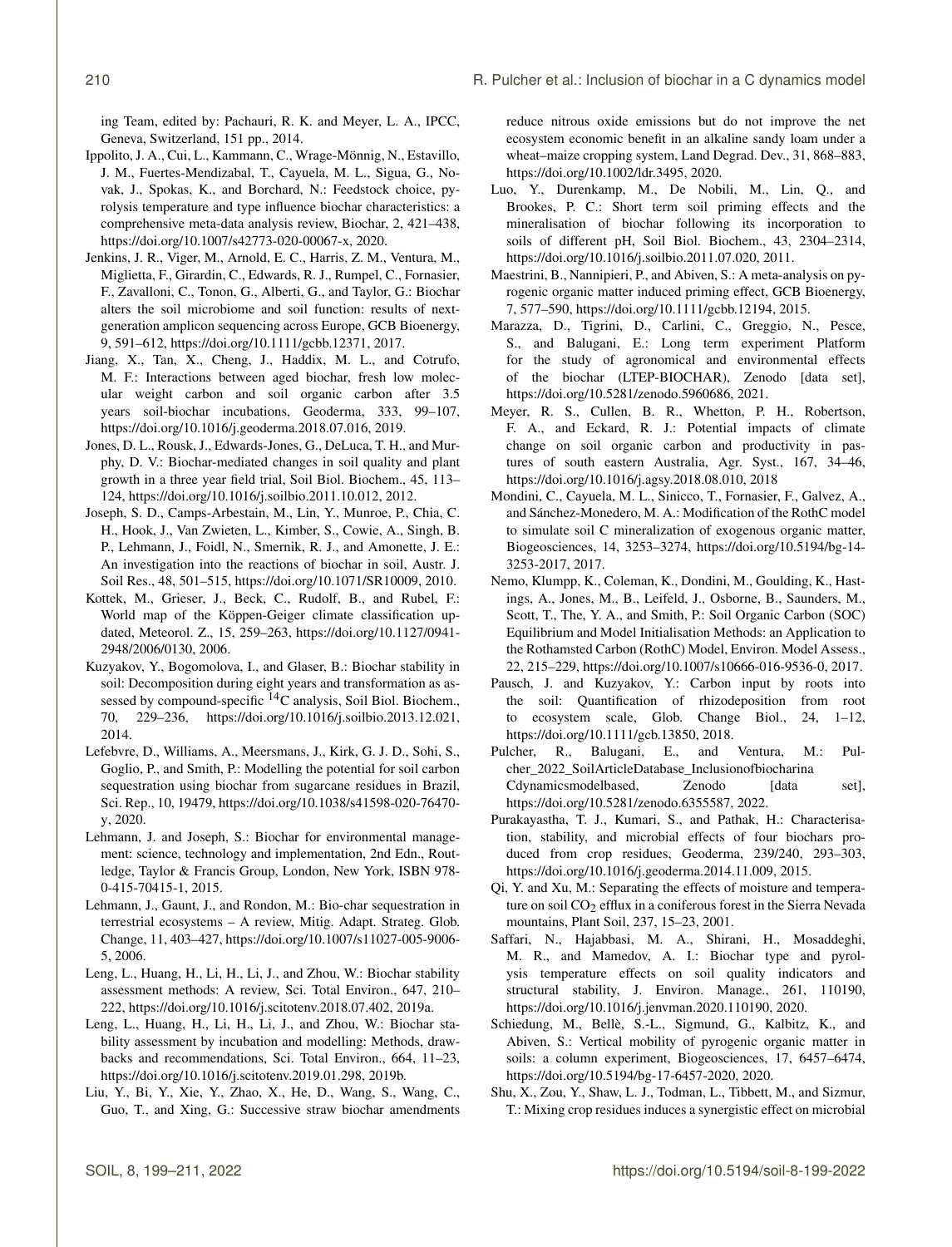ing Team, edited by: Pachauri, R. K. and Meyer, L. A., IPCC, Geneva, Switzerland, 151 pp., 2014.

- Ippolito, J. A., Cui, L., Kammann, C., Wrage-Mönnig, N., Estavillo, J. M., Fuertes-Mendizabal, T., Cayuela, M. L., Sigua, G., Novak, J., Spokas, K., and Borchard, N.: Feedstock choice, pyrolysis temperature and type influence biochar characteristics: a comprehensive meta-data analysis review, Biochar, 2, 421–438, https://doi.org[/10.1007/s42773-020-00067-x,](https://doi.org/10.1007/s42773-020-00067-x) 2020.
- Jenkins, J. R., Viger, M., Arnold, E. C., Harris, Z. M., Ventura, M., Miglietta, F., Girardin, C., Edwards, R. J., Rumpel, C., Fornasier, F., Zavalloni, C., Tonon, G., Alberti, G., and Taylor, G.: Biochar alters the soil microbiome and soil function: results of nextgeneration amplicon sequencing across Europe, GCB Bioenergy, 9, 591–612, https://doi.org[/10.1111/gcbb.12371,](https://doi.org/10.1111/gcbb.12371) 2017.
- Jiang, X., Tan, X., Cheng, J., Haddix, M. L., and Cotrufo, M. F.: Interactions between aged biochar, fresh low molecular weight carbon and soil organic carbon after 3.5 years soil-biochar incubations, Geoderma, 333, 99–107, https://doi.org[/10.1016/j.geoderma.2018.07.016,](https://doi.org/10.1016/j.geoderma.2018.07.016) 2019.
- Jones, D. L., Rousk, J., Edwards-Jones, G., DeLuca, T. H., and Murphy, D. V.: Biochar-mediated changes in soil quality and plant growth in a three year field trial, Soil Biol. Biochem., 45, 113– 124, https://doi.org[/10.1016/j.soilbio.2011.10.012,](https://doi.org/10.1016/j.soilbio.2011.10.012) 2012.
- Joseph, S. D., Camps-Arbestain, M., Lin, Y., Munroe, P., Chia, C. H., Hook, J., Van Zwieten, L., Kimber, S., Cowie, A., Singh, B. P., Lehmann, J., Foidl, N., Smernik, R. J., and Amonette, J. E.: An investigation into the reactions of biochar in soil, Austr. J. Soil Res., 48, 501–515, https://doi.org[/10.1071/SR10009,](https://doi.org/10.1071/SR10009) 2010.
- Kottek, M., Grieser, J., Beck, C., Rudolf, B., and Rubel, F.: World map of the Köppen-Geiger climate classification updated, Meteorol. Z., 15, 259–263, https://doi.org[/10.1127/0941-](https://doi.org/10.1127/0941-2948/2006/0130) [2948/2006/0130,](https://doi.org/10.1127/0941-2948/2006/0130) 2006.
- Kuzyakov, Y., Bogomolova, I., and Glaser, B.: Biochar stability in soil: Decomposition during eight years and transformation as assessed by compound-specific <sup>14</sup>C analysis, Soil Biol. Biochem., 70, 229–236, https://doi.org[/10.1016/j.soilbio.2013.12.021,](https://doi.org/10.1016/j.soilbio.2013.12.021) 2014.
- Lefebvre, D., Williams, A., Meersmans, J., Kirk, G. J. D., Sohi, S., Goglio, P., and Smith, P.: Modelling the potential for soil carbon sequestration using biochar from sugarcane residues in Brazil, Sci. Rep., 10, 19479, https://doi.org[/10.1038/s41598-020-76470](https://doi.org/10.1038/s41598-020-76470-y) [y,](https://doi.org/10.1038/s41598-020-76470-y) 2020.
- Lehmann, J. and Joseph, S.: Biochar for environmental management: science, technology and implementation, 2nd Edn., Routledge, Taylor & Francis Group, London, New York, ISBN 978- 0-415-70415-1, 2015.
- Lehmann, J., Gaunt, J., and Rondon, M.: Bio-char sequestration in terrestrial ecosystems – A review, Mitig. Adapt. Strateg. Glob. Change, 11, 403–427, https://doi.org[/10.1007/s11027-005-9006-](https://doi.org/10.1007/s11027-005-9006-5) [5,](https://doi.org/10.1007/s11027-005-9006-5) 2006.
- Leng, L., Huang, H., Li, H., Li, J., and Zhou, W.: Biochar stability assessment methods: A review, Sci. Total Environ., 647, 210– 222, https://doi.org[/10.1016/j.scitotenv.2018.07.402,](https://doi.org/10.1016/j.scitotenv.2018.07.402) 2019a.
- Leng, L., Huang, H., Li, H., Li, J., and Zhou, W.: Biochar stability assessment by incubation and modelling: Methods, drawbacks and recommendations, Sci. Total Environ., 664, 11–23, https://doi.org[/10.1016/j.scitotenv.2019.01.298,](https://doi.org/10.1016/j.scitotenv.2019.01.298) 2019b.
- Liu, Y., Bi, Y., Xie, Y., Zhao, X., He, D., Wang, S., Wang, C., Guo, T., and Xing, G.: Successive straw biochar amendments

reduce nitrous oxide emissions but do not improve the net ecosystem economic benefit in an alkaline sandy loam under a wheat–maize cropping system, Land Degrad. Dev., 31, 868–883, https://doi.org[/10.1002/ldr.3495,](https://doi.org/10.1002/ldr.3495) 2020.

- Luo, Y., Durenkamp, M., De Nobili, M., Lin, Q., and Brookes, P. C.: Short term soil priming effects and the mineralisation of biochar following its incorporation to soils of different pH, Soil Biol. Biochem., 43, 2304–2314, https://doi.org[/10.1016/j.soilbio.2011.07.020,](https://doi.org/10.1016/j.soilbio.2011.07.020) 2011.
- Maestrini, B., Nannipieri, P., and Abiven, S.: A meta-analysis on pyrogenic organic matter induced priming effect, GCB Bioenergy, 7, 577–590, https://doi.org[/10.1111/gcbb.12194,](https://doi.org/10.1111/gcbb.12194) 2015.
- Marazza, D., Tigrini, D., Carlini, C., Greggio, N., Pesce, S., and Balugani, E.: Long term experiment Platform for the study of agronomical and environmental effects of the biochar (LTEP-BIOCHAR), Zenodo [data set], https://doi.org[/10.5281/zenodo.5960686,](https://doi.org/10.5281/zenodo.5960686) 2021.
- Meyer, R. S., Cullen, B. R., Whetton, P. H., Robertson, F. A., and Eckard, R. J.: Potential impacts of climate change on soil organic carbon and productivity in pastures of south eastern Australia, Agr. Syst., 167, 34–46, https://doi.org[/10.1016/j.agsy.2018.08.010,](https://doi.org/10.1016/j.agsy.2018.08.010) 2018
- Mondini, C., Cayuela, M. L., Sinicco, T., Fornasier, F., Galvez, A., and Sánchez-Monedero, M. A.: Modification of the RothC model to simulate soil C mineralization of exogenous organic matter, Biogeosciences, 14, 3253–3274, https://doi.org[/10.5194/bg-14-](https://doi.org/10.5194/bg-14-3253-2017) [3253-2017,](https://doi.org/10.5194/bg-14-3253-2017) 2017.
- Nemo, Klumpp, K., Coleman, K., Dondini, M., Goulding, K., Hastings, A., Jones, M., B., Leifeld, J., Osborne, B., Saunders, M., Scott, T., The, Y. A., and Smith, P.: Soil Organic Carbon (SOC) Equilibrium and Model Initialisation Methods: an Application to the Rothamsted Carbon (RothC) Model, Environ. Model Assess., 22, 215–229, https://doi.org[/10.1007/s10666-016-9536-0,](https://doi.org/10.1007/s10666-016-9536-0) 2017.
- Pausch, J. and Kuzyakov, Y.: Carbon input by roots into the soil: Quantification of rhizodeposition from root to ecosystem scale, Glob. Change Biol., 24, 1–12, https://doi.org[/10.1111/gcb.13850,](https://doi.org/10.1111/gcb.13850) 2018.
- Pulcher, R., Balugani, E., and Ventura, M.: Pulcher\_2022\_SoilArticleDatabase\_Inclusionofbiocharina Cdynamicsmodelbased, Zenodo [data set], https://doi.org[/10.5281/zenodo.6355587,](https://doi.org/10.5281/zenodo.6355587) 2022.
- Purakayastha, T. J., Kumari, S., and Pathak, H.: Characterisation, stability, and microbial effects of four biochars produced from crop residues, Geoderma, 239/240, 293–303, https://doi.org[/10.1016/j.geoderma.2014.11.009,](https://doi.org/10.1016/j.geoderma.2014.11.009) 2015.
- Qi, Y. and Xu, M.: Separating the effects of moisture and temperature on soil CO<sub>2</sub> efflux in a coniferous forest in the Sierra Nevada mountains, Plant Soil, 237, 15–23, 2001.
- Saffari, N., Hajabbasi, M. A., Shirani, H., Mosaddeghi, M. R., and Mamedov, A. I.: Biochar type and pyrolysis temperature effects on soil quality indicators and structural stability, J. Environ. Manage., 261, 110190, https://doi.org[/10.1016/j.jenvman.2020.110190,](https://doi.org/10.1016/j.jenvman.2020.110190) 2020.
- Schiedung, M., Bellè, S.-L., Sigmund, G., Kalbitz, K., and Abiven, S.: Vertical mobility of pyrogenic organic matter in soils: a column experiment, Biogeosciences, 17, 6457–6474, https://doi.org[/10.5194/bg-17-6457-2020,](https://doi.org/10.5194/bg-17-6457-2020) 2020.
- Shu, X., Zou, Y., Shaw, L. J., Todman, L., Tibbett, M., and Sizmur, T.: Mixing crop residues induces a synergistic effect on microbial